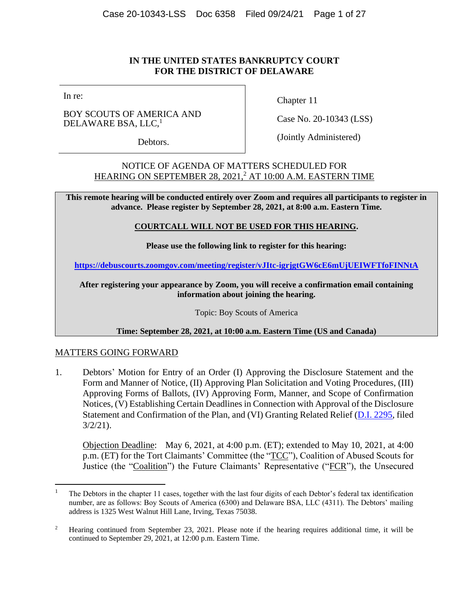# **IN THE UNITED STATES BANKRUPTCY COURT FOR THE DISTRICT OF DELAWARE**

In re:

BOY SCOUTS OF AMERICA AND DELAWARE BSA, LLC,<sup>1</sup>

Debtors.

Chapter 11

Case No. 20-10343 (LSS)

(Jointly Administered)

NOTICE OF AGENDA OF MATTERS SCHEDULED FOR HEARING ON SEPTEMBER 28, 2021, <sup>2</sup> AT 10:00 A.M. EASTERN TIME

**This remote hearing will be conducted entirely over Zoom and requires all participants to register in advance. Please register by September 28, 2021, at 8:00 a.m. Eastern Time.** 

### **COURTCALL WILL NOT BE USED FOR THIS HEARING.**

**Please use the following link to register for this hearing:**

**<https://debuscourts.zoomgov.com/meeting/register/vJItc-igrjgtGW6cE6mUjUEIWFTfoFINNtA>**

**After registering your appearance by Zoom, you will receive a confirmation email containing information about joining the hearing.**

Topic: Boy Scouts of America

**Time: September 28, 2021, at 10:00 a.m. Eastern Time (US and Canada)**

## MATTERS GOING FORWARD

1. Debtors' Motion for Entry of an Order (I) Approving the Disclosure Statement and the Form and Manner of Notice, (II) Approving Plan Solicitation and Voting Procedures, (III) Approving Forms of Ballots, (IV) Approving Form, Manner, and Scope of Confirmation Notices, (V) Establishing Certain Deadlines in Connection with Approval of the Disclosure Statement and Confirmation of the Plan, and (VI) Granting Related Relief [\(D.I. 2295,](https://ecf.deb.uscourts.gov/doc1/042019645563) filed 3/2/21).

Objection Deadline: May 6, 2021, at 4:00 p.m. (ET); extended to May 10, 2021, at 4:00 p.m. (ET) for the Tort Claimants' Committee (the "TCC"), Coalition of Abused Scouts for Justice (the "Coalition") the Future Claimants' Representative ("FCR"), the Unsecured

<sup>1</sup> The Debtors in the chapter 11 cases, together with the last four digits of each Debtor's federal tax identification number, are as follows: Boy Scouts of America (6300) and Delaware BSA, LLC (4311). The Debtors' mailing address is 1325 West Walnut Hill Lane, Irving, Texas 75038.

<sup>&</sup>lt;sup>2</sup> Hearing continued from September 23, 2021. Please note if the hearing requires additional time, it will be continued to September 29, 2021, at 12:00 p.m. Eastern Time.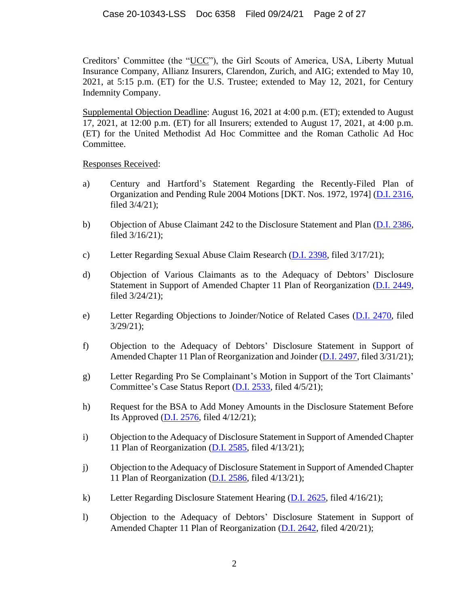Creditors' Committee (the "UCC"), the Girl Scouts of America, USA, Liberty Mutual Insurance Company, Allianz Insurers, Clarendon, Zurich, and AIG; extended to May 10, 2021, at 5:15 p.m. (ET) for the U.S. Trustee; extended to May 12, 2021, for Century Indemnity Company.

Supplemental Objection Deadline: August 16, 2021 at 4:00 p.m. (ET); extended to August 17, 2021, at 12:00 p.m. (ET) for all Insurers; extended to August 17, 2021, at 4:00 p.m. (ET) for the United Methodist Ad Hoc Committee and the Roman Catholic Ad Hoc Committee.

Responses Received:

- a) Century and Hartford's Statement Regarding the Recently-Filed Plan of Organization and Pending Rule 2004 Motions [DKT. Nos. 1972, 1974] [\(D.I. 2316,](https://ecf.deb.uscourts.gov/doc1/042019652232) filed 3/4/21);
- b) Objection of Abuse Claimant 242 to the Disclosure Statement and Plan [\(D.I. 2386,](https://ecf.deb.uscourts.gov/doc1/042019677724) filed 3/16/21);
- c) Letter Regarding Sexual Abuse Claim Research [\(D.I. 2398,](https://ecf.deb.uscourts.gov/doc1/042119681266) filed 3/17/21);
- d) Objection of Various Claimants as to the Adequacy of Debtors' Disclosure Statement in Support of Amended Chapter 11 Plan of Reorganization [\(D.I. 2449,](https://ecf.deb.uscourts.gov/doc1/042019695911) filed 3/24/21);
- e) Letter Regarding Objections to Joinder/Notice of Related Cases [\(D.I. 2470,](https://ecf.deb.uscourts.gov/doc1/042119702637) filed 3/29/21);
- f) Objection to the Adequacy of Debtors' Disclosure Statement in Support of Amended Chapter 11 Plan of Reorganization and Joinder [\(D.I. 2497,](https://ecf.deb.uscourts.gov/doc1/042019708906) filed 3/31/21);
- g) Letter Regarding Pro Se Complainant's Motion in Support of the Tort Claimants' Committee's Case Status Report [\(D.I. 2533,](https://ecf.deb.uscourts.gov/doc1/042119714698) filed 4/5/21);
- h) Request for the BSA to Add Money Amounts in the Disclosure Statement Before Its Approved [\(D.I. 2576,](https://ecf.deb.uscourts.gov/doc1/042019727492?pdf_header=&magic_num=65796363&de_seq_num=8502&caseid=180369) filed 4/12/21);
- i) Objection to the Adequacy of Disclosure Statement in Support of Amended Chapter 11 Plan of Reorganization [\(D.I. 2585,](https://ecf.deb.uscourts.gov/doc1/042019730785) filed 4/13/21);
- j) Objection to the Adequacy of Disclosure Statement in Support of Amended Chapter 11 Plan of Reorganization [\(D.I. 2586,](https://ecf.deb.uscourts.gov/doc1/042019730796) filed 4/13/21);
- k) Letter Regarding Disclosure Statement Hearing [\(D.I. 2625,](https://ecf.deb.uscourts.gov/doc1/042119737966) filed 4/16/21);
- l) Objection to the Adequacy of Debtors' Disclosure Statement in Support of Amended Chapter 11 Plan of Reorganization [\(D.I. 2642,](https://ecf.deb.uscourts.gov/doc1/042019743349) filed 4/20/21);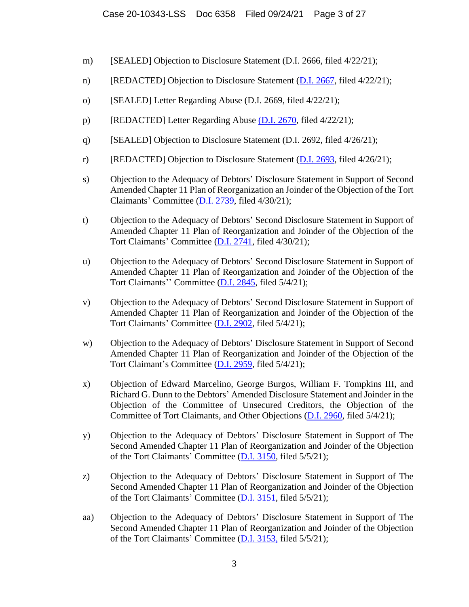- m) [SEALED] Objection to Disclosure Statement (D.I. 2666, filed 4/22/21);
- n) [REDACTED] Objection to Disclosure Statement [\(D.I. 2667,](https://ecf.deb.uscourts.gov/doc1/042119748366) filed 4/22/21);
- o) [SEALED] Letter Regarding Abuse (D.I. 2669, filed 4/22/21);
- p) [REDACTED] Letter Regarding Abuse [\(D.I. 2670,](https://ecf.deb.uscourts.gov/doc1/042119748395) filed 4/22/21);
- q) [SEALED] Objection to Disclosure Statement (D.I. 2692, filed 4/26/21);
- r) [REDACTED] Objection to Disclosure Statement  $(D.I. 2693,$  filed  $4/26/21$ ;
- s) Objection to the Adequacy of Debtors' Disclosure Statement in Support of Second Amended Chapter 11 Plan of Reorganization an Joinder of the Objection of the Tort Claimants' Committee [\(D.I. 2739,](https://ecf.deb.uscourts.gov/doc1/042119764152) filed 4/30/21);
- t) Objection to the Adequacy of Debtors' Second Disclosure Statement in Support of Amended Chapter 11 Plan of Reorganization and Joinder of the Objection of the Tort Claimants' Committee [\(D.I. 2741,](https://ecf.deb.uscourts.gov/doc1/042019764747) filed 4/30/21);
- u) Objection to the Adequacy of Debtors' Second Disclosure Statement in Support of Amended Chapter 11 Plan of Reorganization and Joinder of the Objection of the Tort Claimants'' Committee [\(D.I. 2845,](https://ecf.deb.uscourts.gov/doc1/042019769719) filed 5/4/21);
- v) Objection to the Adequacy of Debtors' Second Disclosure Statement in Support of Amended Chapter 11 Plan of Reorganization and Joinder of the Objection of the Tort Claimants' Committee [\(D.I. 2902,](https://ecf.deb.uscourts.gov/doc1/042019770248) filed 5/4/21);
- w) Objection to the Adequacy of Debtors' Disclosure Statement in Support of Second Amended Chapter 11 Plan of Reorganization and Joinder of the Objection of the Tort Claimant's Committee [\(D.I. 2959,](https://ecf.deb.uscourts.gov/doc1/042019771289) filed 5/4/21);
- x) Objection of Edward Marcelino, George Burgos, William F. Tompkins III, and Richard G. Dunn to the Debtors' Amended Disclosure Statement and Joinder in the Objection of the Committee of Unsecured Creditors, the Objection of the Committee of Tort Claimants, and Other Objections [\(D.I. 2960,](https://ecf.deb.uscourts.gov/doc1/042119771327) filed 5/4/21);
- y) Objection to the Adequacy of Debtors' Disclosure Statement in Support of The Second Amended Chapter 11 Plan of Reorganization and Joinder of the Objection of the Tort Claimants' Committee [\(D.I. 3150,](https://ecf.deb.uscourts.gov/doc1/042019774265) filed 5/5/21);
- z) Objection to the Adequacy of Debtors' Disclosure Statement in Support of The Second Amended Chapter 11 Plan of Reorganization and Joinder of the Objection of the Tort Claimants' Committee [\(D.I. 3151,](https://ecf.deb.uscourts.gov/doc1/042019774292) filed 5/5/21);
- aa) Objection to the Adequacy of Debtors' Disclosure Statement in Support of The Second Amended Chapter 11 Plan of Reorganization and Joinder of the Objection of the Tort Claimants' Committee [\(D.I. 3153,](https://ecf.deb.uscourts.gov/doc1/042019774317) filed 5/5/21);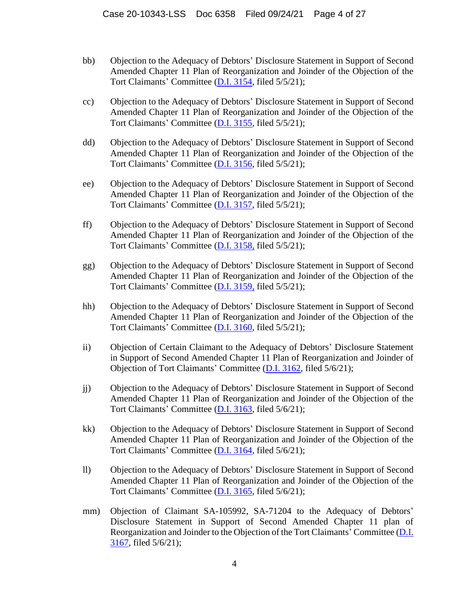- bb) Objection to the Adequacy of Debtors' Disclosure Statement in Support of Second Amended Chapter 11 Plan of Reorganization and Joinder of the Objection of the Tort Claimants' Committee [\(D.I. 3154,](https://ecf.deb.uscourts.gov/doc1/042019774335) filed 5/5/21);
- cc) Objection to the Adequacy of Debtors' Disclosure Statement in Support of Second Amended Chapter 11 Plan of Reorganization and Joinder of the Objection of the Tort Claimants' Committee [\(D.I. 3155,](https://ecf.deb.uscourts.gov/doc1/042019774355) filed 5/5/21);
- dd) Objection to the Adequacy of Debtors' Disclosure Statement in Support of Second Amended Chapter 11 Plan of Reorganization and Joinder of the Objection of the Tort Claimants' Committee [\(D.I. 3156,](https://ecf.deb.uscourts.gov/doc1/042019774363) filed 5/5/21);
- ee) Objection to the Adequacy of Debtors' Disclosure Statement in Support of Second Amended Chapter 11 Plan of Reorganization and Joinder of the Objection of the Tort Claimants' Committee [\(D.I. 3157,](https://ecf.deb.uscourts.gov/doc1/042019775144) filed 5/5/21);
- ff) Objection to the Adequacy of Debtors' Disclosure Statement in Support of Second Amended Chapter 11 Plan of Reorganization and Joinder of the Objection of the Tort Claimants' Committee [\(D.I. 3158,](https://ecf.deb.uscourts.gov/doc1/042019775247) filed 5/5/21);
- gg) Objection to the Adequacy of Debtors' Disclosure Statement in Support of Second Amended Chapter 11 Plan of Reorganization and Joinder of the Objection of the Tort Claimants' Committee [\(D.I. 3159,](https://ecf.deb.uscourts.gov/doc1/042019775420) filed 5/5/21);
- hh) Objection to the Adequacy of Debtors' Disclosure Statement in Support of Second Amended Chapter 11 Plan of Reorganization and Joinder of the Objection of the Tort Claimants' Committee [\(D.I. 3160,](https://ecf.deb.uscourts.gov/doc1/042019775880) filed 5/5/21);
- ii) Objection of Certain Claimant to the Adequacy of Debtors' Disclosure Statement in Support of Second Amended Chapter 11 Plan of Reorganization and Joinder of Objection of Tort Claimants' Committee [\(D.I. 3162,](https://ecf.deb.uscourts.gov/doc1/042019776292) filed 5/6/21);
- jj) Objection to the Adequacy of Debtors' Disclosure Statement in Support of Second Amended Chapter 11 Plan of Reorganization and Joinder of the Objection of the Tort Claimants' Committee [\(D.I. 3163,](https://ecf.deb.uscourts.gov/doc1/042019776307) filed 5/6/21);
- kk) Objection to the Adequacy of Debtors' Disclosure Statement in Support of Second Amended Chapter 11 Plan of Reorganization and Joinder of the Objection of the Tort Claimants' Committee [\(D.I. 3164,](https://ecf.deb.uscourts.gov/doc1/042019776310) filed 5/6/21);
- ll) Objection to the Adequacy of Debtors' Disclosure Statement in Support of Second Amended Chapter 11 Plan of Reorganization and Joinder of the Objection of the Tort Claimants' Committee [\(D.I. 3165,](https://ecf.deb.uscourts.gov/doc1/042019776448) filed 5/6/21);
- mm) Objection of Claimant SA-105992, SA-71204 to the Adequacy of Debtors' Disclosure Statement in Support of Second Amended Chapter 11 plan of Reorganization and Joinder to the Objection of the Tort Claimants' Committee [\(D.I.](https://ecf.deb.uscourts.gov/doc1/042019776712)  [3167,](https://ecf.deb.uscourts.gov/doc1/042019776712) filed 5/6/21);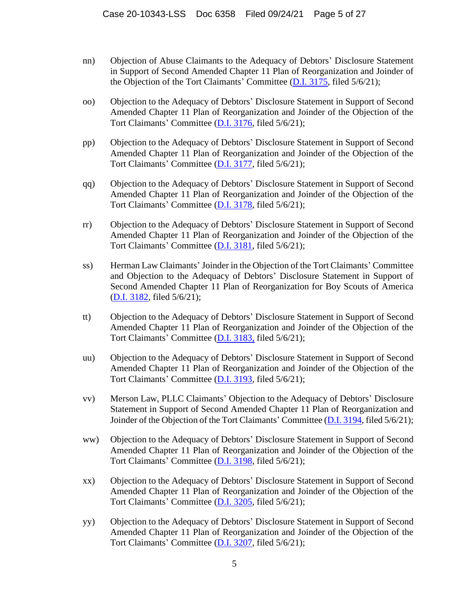- nn) Objection of Abuse Claimants to the Adequacy of Debtors' Disclosure Statement in Support of Second Amended Chapter 11 Plan of Reorganization and Joinder of the Objection of the Tort Claimants' Committee [\(D.I. 3175,](https://ecf.deb.uscourts.gov/doc1/042019776832) filed 5/6/21);
- oo) Objection to the Adequacy of Debtors' Disclosure Statement in Support of Second Amended Chapter 11 Plan of Reorganization and Joinder of the Objection of the Tort Claimants' Committee [\(D.I. 3176,](https://ecf.deb.uscourts.gov/doc1/042019776858) filed 5/6/21);
- pp) Objection to the Adequacy of Debtors' Disclosure Statement in Support of Second Amended Chapter 11 Plan of Reorganization and Joinder of the Objection of the Tort Claimants' Committee [\(D.I. 3177,](https://ecf.deb.uscourts.gov/doc1/042019776876) filed 5/6/21);
- qq) Objection to the Adequacy of Debtors' Disclosure Statement in Support of Second Amended Chapter 11 Plan of Reorganization and Joinder of the Objection of the Tort Claimants' Committee [\(D.I. 3178,](https://ecf.deb.uscourts.gov/doc1/042019776887) filed 5/6/21);
- rr) Objection to the Adequacy of Debtors' Disclosure Statement in Support of Second Amended Chapter 11 Plan of Reorganization and Joinder of the Objection of the Tort Claimants' Committee [\(D.I. 3181,](https://ecf.deb.uscourts.gov/doc1/042019776920) filed 5/6/21);
- ss) Herman Law Claimants' Joinder in the Objection of the Tort Claimants' Committee and Objection to the Adequacy of Debtors' Disclosure Statement in Support of Second Amended Chapter 11 Plan of Reorganization for Boy Scouts of America [\(D.I. 3182,](https://ecf.deb.uscourts.gov/doc1/042019776921) filed 5/6/21);
- tt) Objection to the Adequacy of Debtors' Disclosure Statement in Support of Second Amended Chapter 11 Plan of Reorganization and Joinder of the Objection of the Tort Claimants' Committee [\(D.I. 3183,](https://ecf.deb.uscourts.gov/doc1/042019776993) filed 5/6/21);
- uu) Objection to the Adequacy of Debtors' Disclosure Statement in Support of Second Amended Chapter 11 Plan of Reorganization and Joinder of the Objection of the Tort Claimants' Committee [\(D.I. 3193,](https://ecf.deb.uscourts.gov/doc1/042019777044) filed 5/6/21);
- vv) Merson Law, PLLC Claimants' Objection to the Adequacy of Debtors' Disclosure Statement in Support of Second Amended Chapter 11 Plan of Reorganization and Joinder of the Objection of the Tort Claimants' Committee [\(D.I. 3194,](https://ecf.deb.uscourts.gov/doc1/042019777049) filed 5/6/21);
- ww) Objection to the Adequacy of Debtors' Disclosure Statement in Support of Second Amended Chapter 11 Plan of Reorganization and Joinder of the Objection of the Tort Claimants' Committee [\(D.I. 3198,](https://ecf.deb.uscourts.gov/doc1/042019777072) filed 5/6/21);
- xx) Objection to the Adequacy of Debtors' Disclosure Statement in Support of Second Amended Chapter 11 Plan of Reorganization and Joinder of the Objection of the Tort Claimants' Committee [\(D.I. 3205,](https://ecf.deb.uscourts.gov/doc1/042019777134) filed 5/6/21);
- yy) Objection to the Adequacy of Debtors' Disclosure Statement in Support of Second Amended Chapter 11 Plan of Reorganization and Joinder of the Objection of the Tort Claimants' Committee [\(D.I. 3207,](https://ecf.deb.uscourts.gov/doc1/042019777141) filed 5/6/21);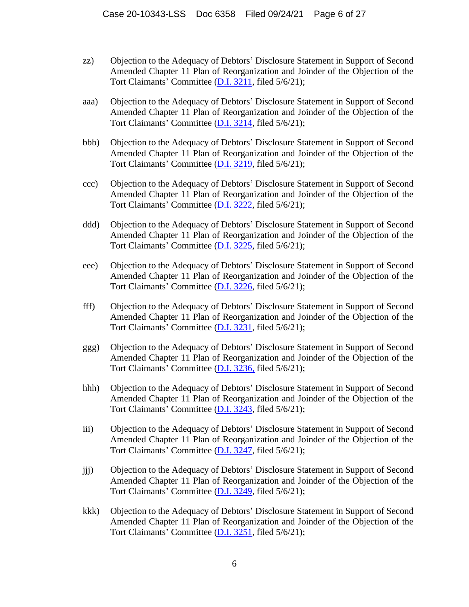- zz) Objection to the Adequacy of Debtors' Disclosure Statement in Support of Second Amended Chapter 11 Plan of Reorganization and Joinder of the Objection of the Tort Claimants' Committee [\(D.I. 3211,](https://ecf.deb.uscourts.gov/doc1/042019777180) filed 5/6/21);
- aaa) Objection to the Adequacy of Debtors' Disclosure Statement in Support of Second Amended Chapter 11 Plan of Reorganization and Joinder of the Objection of the Tort Claimants' Committee [\(D.I. 3214,](https://ecf.deb.uscourts.gov/doc1/042019777214) filed 5/6/21);
- bbb) Objection to the Adequacy of Debtors' Disclosure Statement in Support of Second Amended Chapter 11 Plan of Reorganization and Joinder of the Objection of the Tort Claimants' Committee [\(D.I. 3219,](https://ecf.deb.uscourts.gov/doc1/042019777234) filed 5/6/21);
- ccc) Objection to the Adequacy of Debtors' Disclosure Statement in Support of Second Amended Chapter 11 Plan of Reorganization and Joinder of the Objection of the Tort Claimants' Committee [\(D.I. 3222,](https://ecf.deb.uscourts.gov/doc1/042019777257) filed 5/6/21);
- ddd) Objection to the Adequacy of Debtors' Disclosure Statement in Support of Second Amended Chapter 11 Plan of Reorganization and Joinder of the Objection of the Tort Claimants' Committee [\(D.I. 3225,](https://ecf.deb.uscourts.gov/doc1/042019777288) filed 5/6/21);
- eee) Objection to the Adequacy of Debtors' Disclosure Statement in Support of Second Amended Chapter 11 Plan of Reorganization and Joinder of the Objection of the Tort Claimants' Committee [\(D.I. 3226,](https://ecf.deb.uscourts.gov/doc1/042019777289) filed 5/6/21);
- fff) Objection to the Adequacy of Debtors' Disclosure Statement in Support of Second Amended Chapter 11 Plan of Reorganization and Joinder of the Objection of the Tort Claimants' Committee [\(D.I. 3231,](https://ecf.deb.uscourts.gov/doc1/042019777352) filed 5/6/21);
- ggg) Objection to the Adequacy of Debtors' Disclosure Statement in Support of Second Amended Chapter 11 Plan of Reorganization and Joinder of the Objection of the Tort Claimants' Committee [\(D.I. 3236,](https://ecf.deb.uscourts.gov/doc1/042019777406) filed 5/6/21);
- hhh) Objection to the Adequacy of Debtors' Disclosure Statement in Support of Second Amended Chapter 11 Plan of Reorganization and Joinder of the Objection of the Tort Claimants' Committee [\(D.I. 3243,](https://ecf.deb.uscourts.gov/doc1/042019777475) filed 5/6/21);
- iii) Objection to the Adequacy of Debtors' Disclosure Statement in Support of Second Amended Chapter 11 Plan of Reorganization and Joinder of the Objection of the Tort Claimants' Committee [\(D.I. 3247,](https://ecf.deb.uscourts.gov/doc1/042019777509) filed 5/6/21);
- jjj) Objection to the Adequacy of Debtors' Disclosure Statement in Support of Second Amended Chapter 11 Plan of Reorganization and Joinder of the Objection of the Tort Claimants' Committee [\(D.I. 3249,](https://ecf.deb.uscourts.gov/doc1/042019777538) filed 5/6/21);
- kkk) Objection to the Adequacy of Debtors' Disclosure Statement in Support of Second Amended Chapter 11 Plan of Reorganization and Joinder of the Objection of the Tort Claimants' Committee [\(D.I. 3251,](https://ecf.deb.uscourts.gov/doc1/042019777574) filed 5/6/21);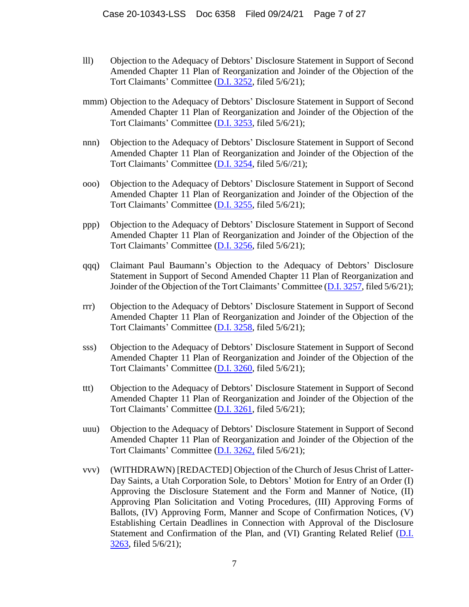- lll) Objection to the Adequacy of Debtors' Disclosure Statement in Support of Second Amended Chapter 11 Plan of Reorganization and Joinder of the Objection of the Tort Claimants' Committee [\(D.I. 3252,](https://ecf.deb.uscourts.gov/doc1/042019777638) filed 5/6/21);
- mmm) Objection to the Adequacy of Debtors' Disclosure Statement in Support of Second Amended Chapter 11 Plan of Reorganization and Joinder of the Objection of the Tort Claimants' Committee [\(D.I. 3253,](https://ecf.deb.uscourts.gov/doc1/042019777660) filed 5/6/21);
- nnn) Objection to the Adequacy of Debtors' Disclosure Statement in Support of Second Amended Chapter 11 Plan of Reorganization and Joinder of the Objection of the Tort Claimants' Committee [\(D.I. 3254,](https://ecf.deb.uscourts.gov/doc1/042019777676) filed 5/6//21);
- ooo) Objection to the Adequacy of Debtors' Disclosure Statement in Support of Second Amended Chapter 11 Plan of Reorganization and Joinder of the Objection of the Tort Claimants' Committee [\(D.I. 3255,](https://ecf.deb.uscourts.gov/doc1/042019777680) filed 5/6/21);
- ppp) Objection to the Adequacy of Debtors' Disclosure Statement in Support of Second Amended Chapter 11 Plan of Reorganization and Joinder of the Objection of the Tort Claimants' Committee [\(D.I. 3256,](https://ecf.deb.uscourts.gov/doc1/042019777696) filed 5/6/21);
- qqq) Claimant Paul Baumann's Objection to the Adequacy of Debtors' Disclosure Statement in Support of Second Amended Chapter 11 Plan of Reorganization and Joinder of the Objection of the Tort Claimants' Committee [\(D.I. 3257,](https://ecf.deb.uscourts.gov/doc1/042019777712) filed 5/6/21);
- rrr) Objection to the Adequacy of Debtors' Disclosure Statement in Support of Second Amended Chapter 11 Plan of Reorganization and Joinder of the Objection of the Tort Claimants' Committee [\(D.I. 3258,](https://ecf.deb.uscourts.gov/doc1/042019777718) filed 5/6/21);
- sss) Objection to the Adequacy of Debtors' Disclosure Statement in Support of Second Amended Chapter 11 Plan of Reorganization and Joinder of the Objection of the Tort Claimants' Committee [\(D.I. 3260,](https://ecf.deb.uscourts.gov/doc1/042019777737) filed 5/6/21);
- ttt) Objection to the Adequacy of Debtors' Disclosure Statement in Support of Second Amended Chapter 11 Plan of Reorganization and Joinder of the Objection of the Tort Claimants' Committee [\(D.I. 3261,](https://ecf.deb.uscourts.gov/doc1/042019777749) filed 5/6/21);
- uuu) Objection to the Adequacy of Debtors' Disclosure Statement in Support of Second Amended Chapter 11 Plan of Reorganization and Joinder of the Objection of the Tort Claimants' Committee [\(D.I. 3262,](https://ecf.deb.uscourts.gov/doc1/042019777779) filed 5/6/21);
- vvv) (WITHDRAWN) [REDACTED] Objection of the Church of Jesus Christ of Latter-Day Saints, a Utah Corporation Sole, to Debtors' Motion for Entry of an Order (I) Approving the Disclosure Statement and the Form and Manner of Notice, (II) Approving Plan Solicitation and Voting Procedures, (III) Approving Forms of Ballots, (IV) Approving Form, Manner and Scope of Confirmation Notices, (V) Establishing Certain Deadlines in Connection with Approval of the Disclosure Statement and Confirmation of the Plan, and (VI) Granting Related Relief [\(D.I.](https://ecf.deb.uscourts.gov/doc1/042019777781)  [3263,](https://ecf.deb.uscourts.gov/doc1/042019777781) filed 5/6/21);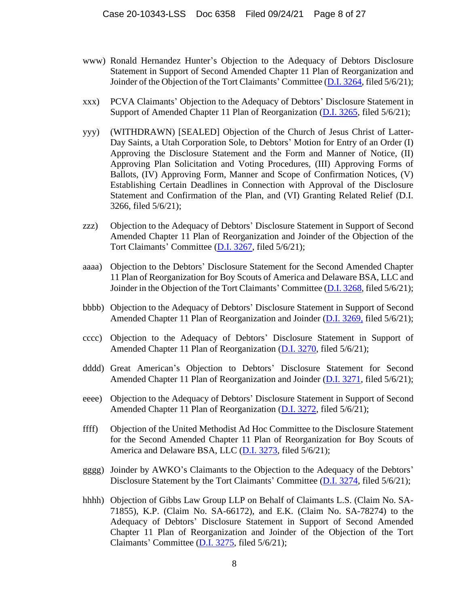- www) Ronald Hernandez Hunter's Objection to the Adequacy of Debtors Disclosure Statement in Support of Second Amended Chapter 11 Plan of Reorganization and Joinder of the Objection of the Tort Claimants' Committee [\(D.I. 3264,](https://ecf.deb.uscourts.gov/doc1/042019777810) filed 5/6/21);
- xxx) PCVA Claimants' Objection to the Adequacy of Debtors' Disclosure Statement in Support of Amended Chapter 11 Plan of Reorganization [\(D.I. 3265,](https://ecf.deb.uscourts.gov/doc1/042019777835) filed 5/6/21);
- yyy) (WITHDRAWN) [SEALED] Objection of the Church of Jesus Christ of Latter-Day Saints, a Utah Corporation Sole, to Debtors' Motion for Entry of an Order (I) Approving the Disclosure Statement and the Form and Manner of Notice, (II) Approving Plan Solicitation and Voting Procedures, (III) Approving Forms of Ballots, (IV) Approving Form, Manner and Scope of Confirmation Notices, (V) Establishing Certain Deadlines in Connection with Approval of the Disclosure Statement and Confirmation of the Plan, and (VI) Granting Related Relief (D.I. 3266, filed 5/6/21);
- zzz) Objection to the Adequacy of Debtors' Disclosure Statement in Support of Second Amended Chapter 11 Plan of Reorganization and Joinder of the Objection of the Tort Claimants' Committee [\(D.I. 3267,](https://ecf.deb.uscourts.gov/doc1/042019777881) filed 5/6/21);
- aaaa) Objection to the Debtors' Disclosure Statement for the Second Amended Chapter 11 Plan of Reorganization for Boy Scouts of America and Delaware BSA, LLC and Joinder in the Objection of the Tort Claimants' Committee [\(D.I. 3268,](https://ecf.deb.uscourts.gov/doc1/042019777887) filed 5/6/21);
- bbbb) Objection to the Adequacy of Debtors' Disclosure Statement in Support of Second Amended Chapter 11 Plan of Reorganization and Joinder [\(D.I. 3269,](https://ecf.deb.uscourts.gov/doc1/042019777900) filed 5/6/21);
- cccc) Objection to the Adequacy of Debtors' Disclosure Statement in Support of Amended Chapter 11 Plan of Reorganization [\(D.I. 3270,](https://ecf.deb.uscourts.gov/doc1/042019777905) filed 5/6/21);
- dddd) Great American's Objection to Debtors' Disclosure Statement for Second Amended Chapter 11 Plan of Reorganization and Joinder [\(D.I. 3271,](https://ecf.deb.uscourts.gov/doc1/042019777918) filed 5/6/21);
- eeee) Objection to the Adequacy of Debtors' Disclosure Statement in Support of Second Amended Chapter 11 Plan of Reorganization [\(D.I. 3272,](https://ecf.deb.uscourts.gov/doc1/042019777922) filed 5/6/21);
- ffff) Objection of the United Methodist Ad Hoc Committee to the Disclosure Statement for the Second Amended Chapter 11 Plan of Reorganization for Boy Scouts of America and Delaware BSA, LLC [\(D.I. 3273,](https://ecf.deb.uscourts.gov/doc1/042019777938) filed 5/6/21);
- gggg) Joinder by AWKO's Claimants to the Objection to the Adequacy of the Debtors' Disclosure Statement by the Tort Claimants' Committee [\(D.I. 3274,](https://ecf.deb.uscourts.gov/doc1/042019777945) filed 5/6/21);
- hhhh) Objection of Gibbs Law Group LLP on Behalf of Claimants L.S. (Claim No. SA-71855), K.P. (Claim No. SA-66172), and E.K. (Claim No. SA-78274) to the Adequacy of Debtors' Disclosure Statement in Support of Second Amended Chapter 11 Plan of Reorganization and Joinder of the Objection of the Tort Claimants' Committee [\(D.I. 3275,](https://ecf.deb.uscourts.gov/doc1/042019777962) filed 5/6/21);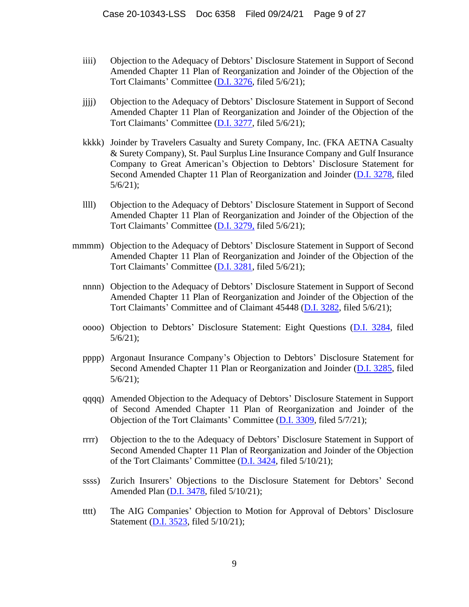- iiii) Objection to the Adequacy of Debtors' Disclosure Statement in Support of Second Amended Chapter 11 Plan of Reorganization and Joinder of the Objection of the Tort Claimants' Committee [\(D.I. 3276,](https://ecf.deb.uscourts.gov/doc1/042019777974) filed 5/6/21);
- jjjj) Objection to the Adequacy of Debtors' Disclosure Statement in Support of Second Amended Chapter 11 Plan of Reorganization and Joinder of the Objection of the Tort Claimants' Committee [\(D.I. 3277,](https://ecf.deb.uscourts.gov/doc1/042019777977) filed 5/6/21);
- kkkk) Joinder by Travelers Casualty and Surety Company, Inc. (FKA AETNA Casualty & Surety Company), St. Paul Surplus Line Insurance Company and Gulf Insurance Company to Great American's Objection to Debtors' Disclosure Statement for Second Amended Chapter 11 Plan of Reorganization and Joinder [\(D.I. 3278,](https://ecf.deb.uscourts.gov/doc1/042019777983) filed 5/6/21);
- llll) Objection to the Adequacy of Debtors' Disclosure Statement in Support of Second Amended Chapter 11 Plan of Reorganization and Joinder of the Objection of the Tort Claimants' Committee [\(D.I. 3279,](https://ecf.deb.uscourts.gov/doc1/042019777990) filed 5/6/21);
- mmmm) Objection to the Adequacy of Debtors' Disclosure Statement in Support of Second Amended Chapter 11 Plan of Reorganization and Joinder of the Objection of the Tort Claimants' Committee [\(D.I. 3281,](https://ecf.deb.uscourts.gov/doc1/042019778026) filed 5/6/21);
	- nnnn) Objection to the Adequacy of Debtors' Disclosure Statement in Support of Second Amended Chapter 11 Plan of Reorganization and Joinder of the Objection of the Tort Claimants' Committee and of Claimant 45448 [\(D.I. 3282,](https://ecf.deb.uscourts.gov/doc1/042019778044) filed 5/6/21);
	- oooo) Objection to Debtors' Disclosure Statement: Eight Questions [\(D.I. 3284,](https://ecf.deb.uscourts.gov/doc1/042019778307) filed 5/6/21);
	- pppp) Argonaut Insurance Company's Objection to Debtors' Disclosure Statement for Second Amended Chapter 11 Plan or Reorganization and Joinder [\(D.I. 3285,](https://ecf.deb.uscourts.gov/doc1/042019778334) filed 5/6/21);
	- qqqq) Amended Objection to the Adequacy of Debtors' Disclosure Statement in Support of Second Amended Chapter 11 Plan of Reorganization and Joinder of the Objection of the Tort Claimants' Committee [\(D.I. 3309,](https://ecf.deb.uscourts.gov/doc1/042019779493) filed 5/7/21);
	- rrrr) Objection to the to the Adequacy of Debtors' Disclosure Statement in Support of Second Amended Chapter 11 Plan of Reorganization and Joinder of the Objection of the Tort Claimants' Committee [\(D.I. 3424,](https://ecf.deb.uscourts.gov/doc1/042019782493) filed 5/10/21);
	- ssss) Zurich Insurers' Objections to the Disclosure Statement for Debtors' Second Amended Plan [\(D.I. 3478,](https://ecf.deb.uscourts.gov/doc1/042019783171) filed 5/10/21);
	- tttt) The AIG Companies' Objection to Motion for Approval of Debtors' Disclosure Statement (**D.I.** 3523, filed 5/10/21);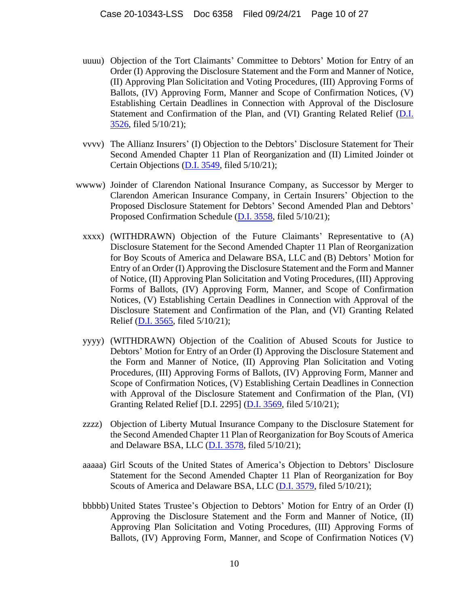- uuuu) Objection of the Tort Claimants' Committee to Debtors' Motion for Entry of an Order (I) Approving the Disclosure Statement and the Form and Manner of Notice, (II) Approving Plan Solicitation and Voting Procedures, (III) Approving Forms of Ballots, (IV) Approving Form, Manner and Scope of Confirmation Notices, (V) Establishing Certain Deadlines in Connection with Approval of the Disclosure Statement and Confirmation of the Plan, and (VI) Granting Related Relief (D.I. [3526,](https://ecf.deb.uscourts.gov/doc1/042019783875) filed 5/10/21);
- vvvv) The Allianz Insurers' (I) Objection to the Debtors' Disclosure Statement for Their Second Amended Chapter 11 Plan of Reorganization and (II) Limited Joinder ot Certain Objections [\(D.I. 3549,](https://ecf.deb.uscourts.gov/doc1/042019783999) filed 5/10/21);
- wwww) Joinder of Clarendon National Insurance Company, as Successor by Merger to Clarendon American Insurance Company, in Certain Insurers' Objection to the Proposed Disclosure Statement for Debtors' Second Amended Plan and Debtors' Proposed Confirmation Schedule [\(D.I. 3558,](https://ecf.deb.uscourts.gov/doc1/042019784055) filed 5/10/21);
	- xxxx) (WITHDRAWN) Objection of the Future Claimants' Representative to (A) Disclosure Statement for the Second Amended Chapter 11 Plan of Reorganization for Boy Scouts of America and Delaware BSA, LLC and (B) Debtors' Motion for Entry of an Order (I) Approving the Disclosure Statement and the Form and Manner of Notice, (II) Approving Plan Solicitation and Voting Procedures, (III) Approving Forms of Ballots, (IV) Approving Form, Manner, and Scope of Confirmation Notices, (V) Establishing Certain Deadlines in Connection with Approval of the Disclosure Statement and Confirmation of the Plan, and (VI) Granting Related Relief [\(D.I. 3565,](https://ecf.deb.uscourts.gov/doc1/042019784081) filed 5/10/21);
	- yyyy) (WITHDRAWN) Objection of the Coalition of Abused Scouts for Justice to Debtors' Motion for Entry of an Order (I) Approving the Disclosure Statement and the Form and Manner of Notice, (II) Approving Plan Solicitation and Voting Procedures, (III) Approving Forms of Ballots, (IV) Approving Form, Manner and Scope of Confirmation Notices, (V) Establishing Certain Deadlines in Connection with Approval of the Disclosure Statement and Confirmation of the Plan, (VI) Granting Related Relief [D.I. 2295] [\(D.I. 3569,](https://ecf.deb.uscourts.gov/doc1/042019784099) filed 5/10/21);
	- zzzz) Objection of Liberty Mutual Insurance Company to the Disclosure Statement for the Second Amended Chapter 11 Plan of Reorganization for Boy Scouts of America and Delaware BSA, LLC  $(D.I. 3578, \text{ filed } 5/10/21);$  $(D.I. 3578, \text{ filed } 5/10/21);$
	- aaaaa) Girl Scouts of the United States of America's Objection to Debtors' Disclosure Statement for the Second Amended Chapter 11 Plan of Reorganization for Boy Scouts of America and Delaware BSA, LLC [\(D.I. 3579,](https://ecf.deb.uscourts.gov/doc1/042019784182) filed 5/10/21);
	- bbbbb) United States Trustee's Objection to Debtors' Motion for Entry of an Order (I) Approving the Disclosure Statement and the Form and Manner of Notice, (II) Approving Plan Solicitation and Voting Procedures, (III) Approving Forms of Ballots, (IV) Approving Form, Manner, and Scope of Confirmation Notices (V)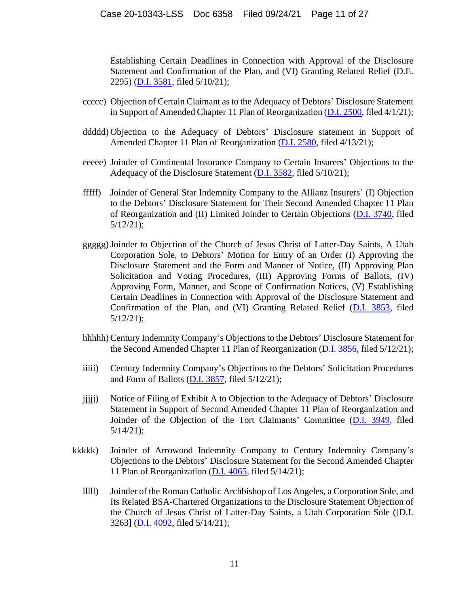Establishing Certain Deadlines in Connection with Approval of the Disclosure Statement and Confirmation of the Plan, and (VI) Granting Related Relief (D.E. 2295) [\(D.I. 3581,](https://ecf.deb.uscourts.gov/doc1/042019784387) filed 5/10/21);

- ccccc) Objection of Certain Claimant as to the Adequacy of Debtors' Disclosure Statement in Support of Amended Chapter 11 Plan of Reorganization [\(D.I. 2500,](https://ecf.deb.uscourts.gov/doc1/042019710059) filed 4/1/21);
- ddddd) Objection to the Adequacy of Debtors' Disclosure statement in Support of Amended Chapter 11 Plan of Reorganization [\(D.I. 2580,](https://ecf.deb.uscourts.gov/doc1/042019729358) filed 4/13/21);
- eeeee) Joinder of Continental Insurance Company to Certain Insurers' Objections to the Adequacy of the Disclosure Statement [\(D.I. 3582,](https://ecf.deb.uscourts.gov/doc1/042019784432) filed 5/10/21);
- fffff) Joinder of General Star Indemnity Company to the Allianz Insurers' (I) Objection to the Debtors' Disclosure Statement for Their Second Amended Chapter 11 Plan of Reorganization and (II) Limited Joinder to Certain Objections [\(D.I. 3740,](https://ecf.deb.uscourts.gov/doc1/042019788841) filed 5/12/21);
- ggggg)Joinder to Objection of the Church of Jesus Christ of Latter-Day Saints, A Utah Corporation Sole, to Debtors' Motion for Entry of an Order (I) Approving the Disclosure Statement and the Form and Manner of Notice, (II) Approving Plan Solicitation and Voting Procedures, (III) Approving Forms of Ballots, (IV) Approving Form, Manner, and Scope of Confirmation Notices, (V) Establishing Certain Deadlines in Connection with Approval of the Disclosure Statement and Confirmation of the Plan, and (VI) Granting Related Relief [\(D.I. 3853,](https://ecf.deb.uscourts.gov/doc1/042019789918) filed 5/12/21);
- hhhhh) Century Indemnity Company's Objections to the Debtors' Disclosure Statement for the Second Amended Chapter 11 Plan of Reorganization [\(D.I. 3856,](https://ecf.deb.uscourts.gov/doc1/042019790064) filed 5/12/21);
- iiiii) Century Indemnity Company's Objections to the Debtors' Solicitation Procedures and Form of Ballots [\(D.I. 3857,](https://ecf.deb.uscourts.gov/doc1/042019790078) filed 5/12/21);
- jjjjj) Notice of Filing of Exhibit A to Objection to the Adequacy of Debtors' Disclosure Statement in Support of Second Amended Chapter 11 Plan of Reorganization and Joinder of the Objection of the Tort Claimants' Committee [\(D.I. 3949,](https://ecf.deb.uscourts.gov/doc1/042019794297) filed 5/14/21);
- kkkkk) Joinder of Arrowood Indemnity Company to Century Indemnity Company's Objections to the Debtors' Disclosure Statement for the Second Amended Chapter 11 Plan of Reorganization  $(D.I. 4065,$  filed  $5/14/21$ );
	- lllll) Joinder of the Roman Catholic Archbishop of Los Angeles, a Corporation Sole, and Its Related BSA-Chartered Organizations to the Disclosure Statement Objection of the Church of Jesus Christ of Latter-Day Saints, a Utah Corporation Sole ([D.I. 3263] [\(D.I. 4092,](https://ecf.deb.uscourts.gov/doc1/042019795562) filed 5/14/21);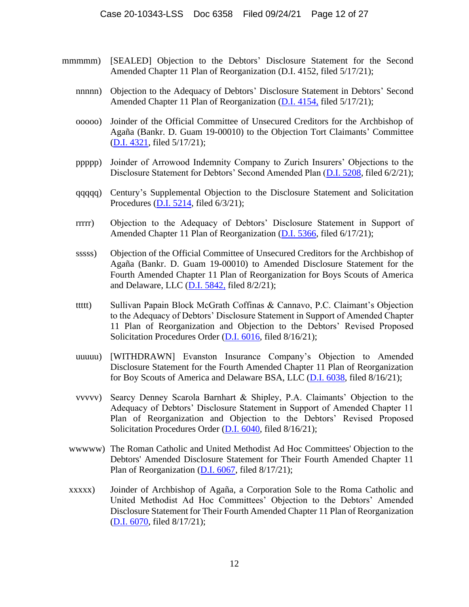- mmmmm) [SEALED] Objection to the Debtors' Disclosure Statement for the Second Amended Chapter 11 Plan of Reorganization (D.I. 4152, filed 5/17/21);
	- nnnnn) Objection to the Adequacy of Debtors' Disclosure Statement in Debtors' Second Amended Chapter 11 Plan of Reorganization [\(D.I. 4154,](https://ecf.deb.uscourts.gov/doc1/042019797988) filed 5/17/21);
	- ooooo) Joinder of the Official Committee of Unsecured Creditors for the Archbishop of Agaña (Bankr. D. Guam 19-00010) to the Objection Tort Claimants' Committee [\(D.I. 4321,](https://ecf.deb.uscourts.gov/doc1/042019800726) filed 5/17/21);
	- ppppp) Joinder of Arrowood Indemnity Company to Zurich Insurers' Objections to the Disclosure Statement for Debtors' Second Amended Plan [\(D.I. 5208,](https://ecf.deb.uscourts.gov/doc1/042019830669) filed 6/2/21);
	- qqqqq) Century's Supplemental Objection to the Disclosure Statement and Solicitation Procedures [\(D.I. 5214,](https://ecf.deb.uscourts.gov/doc1/042019832074) filed 6/3/21);
	- rrrrr) Objection to the Adequacy of Debtors' Disclosure Statement in Support of Amended Chapter 11 Plan of Reorganization [\(D.I. 5366,](https://ecf.deb.uscourts.gov/doc1/042019855904) filed 6/17/21);
	- sssss) Objection of the Official Committee of Unsecured Creditors for the Archbishop of Agaña (Bankr. D. Guam 19-00010) to Amended Disclosure Statement for the Fourth Amended Chapter 11 Plan of Reorganization for Boys Scouts of America and Delaware, LLC [\(D.I. 5842,](https://ecf.deb.uscourts.gov/doc1/042019939675) filed 8/2/21);
	- ttttt) Sullivan Papain Block McGrath Coffinas & Cannavo, P.C. Claimant's Objection to the Adequacy of Debtors' Disclosure Statement in Support of Amended Chapter 11 Plan of Reorganization and Objection to the Debtors' Revised Proposed Solicitation Procedures Order [\(D.I. 6016,](https://ecf.deb.uscourts.gov/cgi-bin/show_multidocs.pl?caseid=180369&arr_de_seq_nums=18801&magic_num=MAGIC&pdf_header=1&pdf_toggle_value=1&arr_de_seq_nums=18801&create_roa=&bates_format=&dkt=&got_receipt=1) filed 8/16/21);
	- uuuuu) [WITHDRAWN] Evanston Insurance Company's Objection to Amended Disclosure Statement for the Fourth Amended Chapter 11 Plan of Reorganization for Boy Scouts of America and Delaware BSA, LLC [\(D.I. 6038,](https://ecf.deb.uscourts.gov/doc1/042119964315) filed 8/16/21);
	- vvvvv) Searcy Denney Scarola Barnhart & Shipley, P.A. Claimants' Objection to the Adequacy of Debtors' Disclosure Statement in Support of Amended Chapter 11 Plan of Reorganization and Objection to the Debtors' Revised Proposed Solicitation Procedures Order [\(D.I. 6040,](https://ecf.deb.uscourts.gov/doc1/042119964483) filed 8/16/21);
	- wwwww) The Roman Catholic and United Methodist Ad Hoc Committees' Objection to the Debtors' Amended Disclosure Statement for Their Fourth Amended Chapter 11 Plan of Reorganization [\(D.I. 6067,](https://ecf.deb.uscourts.gov/cgi-bin/show_multidocs.pl?caseid=180369&arr_de_seq_nums=18997&magic_num=MAGIC&pdf_header=1&pdf_toggle_value=1&arr_de_seq_nums=18997&create_roa=&bates_format=&dkt=&got_receipt=1) filed 8/17/21);
	- xxxxx) Joinder of Archbishop of Agaña, a Corporation Sole to the Roma Catholic and United Methodist Ad Hoc Committees' Objection to the Debtors' Amended Disclosure Statement for Their Fourth Amended Chapter 11 Plan of Reorganization [\(D.I. 6070,](https://ecf.deb.uscourts.gov/cgi-bin/show_multidocs.pl?caseid=180369&arr_de_seq_nums=19006&magic_num=MAGIC&pdf_header=1&pdf_toggle_value=1&arr_de_seq_nums=19006&create_roa=&bates_format=&dkt=&got_receipt=1) filed 8/17/21);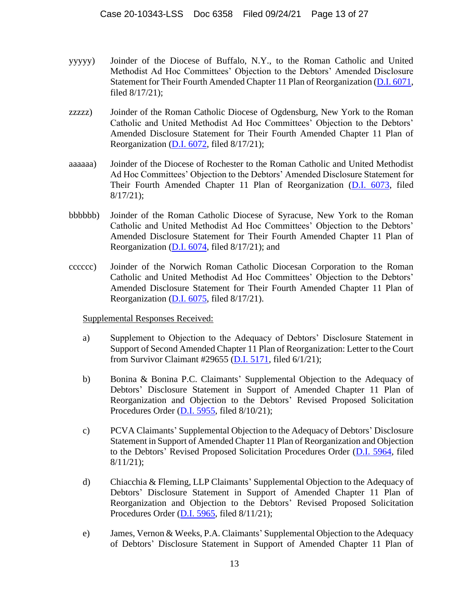- yyyyy) Joinder of the Diocese of Buffalo, N.Y., to the Roman Catholic and United Methodist Ad Hoc Committees' Objection to the Debtors' Amended Disclosure Statement for Their Fourth Amended Chapter 11 Plan of Reorganization [\(D.I. 6071,](https://ecf.deb.uscourts.gov/cgi-bin/show_multidocs.pl?caseid=180369&arr_de_seq_nums=19009&magic_num=MAGIC&pdf_header=1&pdf_toggle_value=1&arr_de_seq_nums=19009&create_roa=&bates_format=&dkt=&got_receipt=1) filed 8/17/21);
- zzzzz) Joinder of the Roman Catholic Diocese of Ogdensburg, New York to the Roman Catholic and United Methodist Ad Hoc Committees' Objection to the Debtors' Amended Disclosure Statement for Their Fourth Amended Chapter 11 Plan of Reorganization [\(D.I. 6072,](https://ecf.deb.uscourts.gov/cgi-bin/show_multidocs.pl?caseid=180369&arr_de_seq_nums=19012&magic_num=MAGIC&pdf_header=1&pdf_toggle_value=1&arr_de_seq_nums=19012&create_roa=&bates_format=&dkt=&got_receipt=1) filed 8/17/21);
- aaaaaa) Joinder of the Diocese of Rochester to the Roman Catholic and United Methodist Ad Hoc Committees' Objection to the Debtors' Amended Disclosure Statement for Their Fourth Amended Chapter 11 Plan of Reorganization [\(D.I. 6073,](https://ecf.deb.uscourts.gov/cgi-bin/show_multidocs.pl?caseid=180369&arr_de_seq_nums=19015&magic_num=MAGIC&pdf_header=1&pdf_toggle_value=1&arr_de_seq_nums=19015&create_roa=&bates_format=&dkt=&got_receipt=1) filed 8/17/21);
- bbbbbb) Joinder of the Roman Catholic Diocese of Syracuse, New York to the Roman Catholic and United Methodist Ad Hoc Committees' Objection to the Debtors' Amended Disclosure Statement for Their Fourth Amended Chapter 11 Plan of Reorganization [\(D.I. 6074,](https://ecf.deb.uscourts.gov/cgi-bin/show_multidocs.pl?caseid=180369&arr_de_seq_nums=19018&magic_num=MAGIC&pdf_header=1&pdf_toggle_value=1&arr_de_seq_nums=19018&create_roa=&bates_format=&dkt=&got_receipt=1) filed 8/17/21); and
- cccccc) Joinder of the Norwich Roman Catholic Diocesan Corporation to the Roman Catholic and United Methodist Ad Hoc Committees' Objection to the Debtors' Amended Disclosure Statement for Their Fourth Amended Chapter 11 Plan of Reorganization [\(D.I. 6075,](https://ecf.deb.uscourts.gov/doc1/042119968114) filed 8/17/21).

Supplemental Responses Received:

- a) Supplement to Objection to the Adequacy of Debtors' Disclosure Statement in Support of Second Amended Chapter 11 Plan of Reorganization: Letter to the Court from Survivor Claimant #29655 [\(D.I. 5171,](https://ecf.deb.uscourts.gov/doc1/042019827705) filed 6/1/21);
- b) Bonina & Bonina P.C. Claimants' Supplemental Objection to the Adequacy of Debtors' Disclosure Statement in Support of Amended Chapter 11 Plan of Reorganization and Objection to the Debtors' Revised Proposed Solicitation Procedures Order [\(D.I. 5955,](https://ecf.deb.uscourts.gov/doc1/042019954367) filed 8/10/21);
- c) PCVA Claimants' Supplemental Objection to the Adequacy of Debtors' Disclosure Statement in Support of Amended Chapter 11 Plan of Reorganization and Objection to the Debtors' Revised Proposed Solicitation Procedures Order [\(D.I. 5964,](https://ecf.deb.uscourts.gov/doc1/042019955701) filed 8/11/21);
- d) Chiacchia & Fleming, LLP Claimants' Supplemental Objection to the Adequacy of Debtors' Disclosure Statement in Support of Amended Chapter 11 Plan of Reorganization and Objection to the Debtors' Revised Proposed Solicitation Procedures Order [\(D.I. 5965,](https://ecf.deb.uscourts.gov/doc1/042019955704) filed 8/11/21);
- e) James, Vernon & Weeks, P.A. Claimants' Supplemental Objection to the Adequacy of Debtors' Disclosure Statement in Support of Amended Chapter 11 Plan of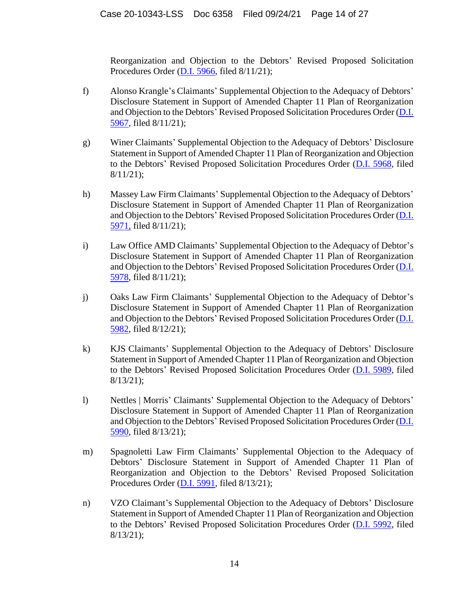Reorganization and Objection to the Debtors' Revised Proposed Solicitation Procedures Order [\(D.I. 5966,](https://ecf.deb.uscourts.gov/doc1/042019955742) filed 8/11/21);

- f) Alonso Krangle's Claimants' Supplemental Objection to the Adequacy of Debtors' Disclosure Statement in Support of Amended Chapter 11 Plan of Reorganization and Objection to the Debtors' Revised Proposed Solicitation Procedures Order [\(D.I.](https://ecf.deb.uscourts.gov/doc1/042019955750)  [5967,](https://ecf.deb.uscourts.gov/doc1/042019955750) filed 8/11/21);
- g) Winer Claimants' Supplemental Objection to the Adequacy of Debtors' Disclosure Statement in Support of Amended Chapter 11 Plan of Reorganization and Objection to the Debtors' Revised Proposed Solicitation Procedures Order [\(D.I. 5968,](https://ecf.deb.uscourts.gov/doc1/042019955790) filed 8/11/21);
- h) Massey Law Firm Claimants' Supplemental Objection to the Adequacy of Debtors' Disclosure Statement in Support of Amended Chapter 11 Plan of Reorganization and Objection to the Debtors' Revised Proposed Solicitation Procedures Order [\(D.I.](https://ecf.deb.uscourts.gov/doc1/042019956524)  [5971,](https://ecf.deb.uscourts.gov/doc1/042019956524) filed 8/11/21);
- i) Law Office AMD Claimants' Supplemental Objection to the Adequacy of Debtor's Disclosure Statement in Support of Amended Chapter 11 Plan of Reorganization and Objection to the Debtors' Revised Proposed Solicitation Procedures Order [\(D.I.](https://ecf.deb.uscourts.gov/doc1/042019956753)  [5978,](https://ecf.deb.uscourts.gov/doc1/042019956753) filed 8/11/21);
- j) Oaks Law Firm Claimants' Supplemental Objection to the Adequacy of Debtor's Disclosure Statement in Support of Amended Chapter 11 Plan of Reorganization and Objection to the Debtors' Revised Proposed Solicitation Procedures Order [\(D.I.](https://ecf.deb.uscourts.gov/doc1/042019958418)  [5982,](https://ecf.deb.uscourts.gov/doc1/042019958418) filed 8/12/21);
- k) KJS Claimants' Supplemental Objection to the Adequacy of Debtors' Disclosure Statement in Support of Amended Chapter 11 Plan of Reorganization and Objection to the Debtors' Revised Proposed Solicitation Procedures Order [\(D.I. 5989,](https://ecf.deb.uscourts.gov/doc1/042019959561) filed 8/13/21);
- l) Nettles | Morris' Claimants' Supplemental Objection to the Adequacy of Debtors' Disclosure Statement in Support of Amended Chapter 11 Plan of Reorganization and Objection to the Debtors' Revised Proposed Solicitation Procedures Order [\(D.I.](https://ecf.deb.uscourts.gov/cgi-bin/show_multidocs.pl?caseid=180369&arr_de_seq_nums=18682&magic_num=MAGIC&pdf_header=1&pdf_toggle_value=1&arr_de_seq_nums=18682&create_roa=&bates_format=&dkt=&got_receipt=1)  [5990,](https://ecf.deb.uscourts.gov/cgi-bin/show_multidocs.pl?caseid=180369&arr_de_seq_nums=18682&magic_num=MAGIC&pdf_header=1&pdf_toggle_value=1&arr_de_seq_nums=18682&create_roa=&bates_format=&dkt=&got_receipt=1) filed 8/13/21);
- m) Spagnoletti Law Firm Claimants' Supplemental Objection to the Adequacy of Debtors' Disclosure Statement in Support of Amended Chapter 11 Plan of Reorganization and Objection to the Debtors' Revised Proposed Solicitation Procedures Order [\(D.I. 5991,](https://ecf.deb.uscourts.gov/cgi-bin/show_multidocs.pl?caseid=180369&arr_de_seq_nums=18688&magic_num=MAGIC&pdf_header=1&pdf_toggle_value=1&arr_de_seq_nums=18688&create_roa=&bates_format=&dkt=&got_receipt=1) filed 8/13/21);
- n) VZO Claimant's Supplemental Objection to the Adequacy of Debtors' Disclosure Statement in Support of Amended Chapter 11 Plan of Reorganization and Objection to the Debtors' Revised Proposed Solicitation Procedures Order [\(D.I. 5992,](https://ecf.deb.uscourts.gov/cgi-bin/show_multidocs.pl?caseid=180369&arr_de_seq_nums=18694&magic_num=MAGIC&pdf_header=1&pdf_toggle_value=1&arr_de_seq_nums=18694&create_roa=&bates_format=&dkt=&got_receipt=1) filed 8/13/21);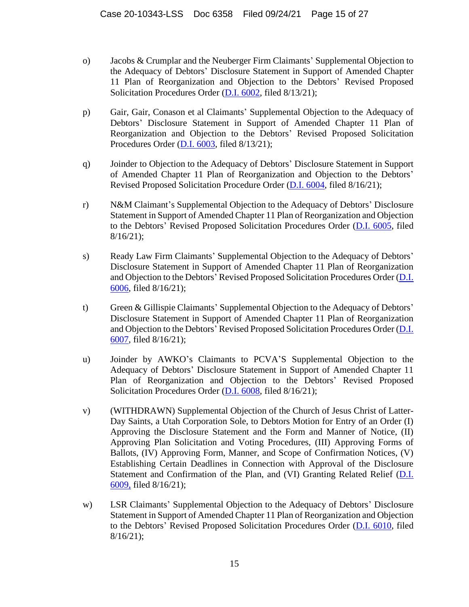- o) Jacobs & Crumplar and the Neuberger Firm Claimants' Supplemental Objection to the Adequacy of Debtors' Disclosure Statement in Support of Amended Chapter 11 Plan of Reorganization and Objection to the Debtors' Revised Proposed Solicitation Procedures Order [\(D.I. 6002,](https://ecf.deb.uscourts.gov/doc1/042119961012) filed 8/13/21);
- p) Gair, Gair, Conason et al Claimants' Supplemental Objection to the Adequacy of Debtors' Disclosure Statement in Support of Amended Chapter 11 Plan of Reorganization and Objection to the Debtors' Revised Proposed Solicitation Procedures Order [\(D.I. 6003,](https://ecf.deb.uscourts.gov/doc1/042119961066) filed 8/13/21);
- q) Joinder to Objection to the Adequacy of Debtors' Disclosure Statement in Support of Amended Chapter 11 Plan of Reorganization and Objection to the Debtors' Revised Proposed Solicitation Procedure Order [\(D.I. 6004,](https://ecf.deb.uscourts.gov/doc1/042119961211) filed 8/16/21);
- r) N&M Claimant's Supplemental Objection to the Adequacy of Debtors' Disclosure Statement in Support of Amended Chapter 11 Plan of Reorganization and Objection to the Debtors' Revised Proposed Solicitation Procedures Order [\(D.I. 6005,](https://ecf.deb.uscourts.gov/doc1/042119962539) filed 8/16/21);
- s) Ready Law Firm Claimants' Supplemental Objection to the Adequacy of Debtors' Disclosure Statement in Support of Amended Chapter 11 Plan of Reorganization and Objection to the Debtors' Revised Proposed Solicitation Procedures Order [\(D.I.](https://ecf.deb.uscourts.gov/doc1/042119962542)  [6006,](https://ecf.deb.uscourts.gov/doc1/042119962542) filed 8/16/21);
- t) Green & Gillispie Claimants' Supplemental Objection to the Adequacy of Debtors' Disclosure Statement in Support of Amended Chapter 11 Plan of Reorganization and Objection to the Debtors' Revised Proposed Solicitation Procedures Order [\(D.I.](https://ecf.deb.uscourts.gov/doc1/042119962545)  [6007,](https://ecf.deb.uscourts.gov/doc1/042119962545) filed 8/16/21);
- u) Joinder by AWKO's Claimants to PCVA'S Supplemental Objection to the Adequacy of Debtors' Disclosure Statement in Support of Amended Chapter 11 Plan of Reorganization and Objection to the Debtors' Revised Proposed Solicitation Procedures Order [\(D.I. 6008,](https://ecf.deb.uscourts.gov/cgi-bin/show_multidocs.pl?caseid=180369&arr_de_seq_nums=18765&magic_num=MAGIC&pdf_header=1&pdf_toggle_value=1&arr_de_seq_nums=18765&create_roa=&bates_format=&dkt=&got_receipt=1) filed 8/16/21);
- v) (WITHDRAWN) Supplemental Objection of the Church of Jesus Christ of Latter-Day Saints, a Utah Corporation Sole, to Debtors Motion for Entry of an Order (I) Approving the Disclosure Statement and the Form and Manner of Notice, (II) Approving Plan Solicitation and Voting Procedures, (III) Approving Forms of Ballots, (IV) Approving Form, Manner, and Scope of Confirmation Notices, (V) Establishing Certain Deadlines in Connection with Approval of the Disclosure Statement and Confirmation of the Plan, and (VI) Granting Related Relief [\(D.I.](https://ecf.deb.uscourts.gov/doc1/042119962631)  [6009,](https://ecf.deb.uscourts.gov/doc1/042119962631) filed 8/16/21);
- w) LSR Claimants' Supplemental Objection to the Adequacy of Debtors' Disclosure Statement in Support of Amended Chapter 11 Plan of Reorganization and Objection to the Debtors' Revised Proposed Solicitation Procedures Order [\(D.I. 6010,](https://ecf.deb.uscourts.gov/doc1/042119962740) filed  $8/16/21$ ;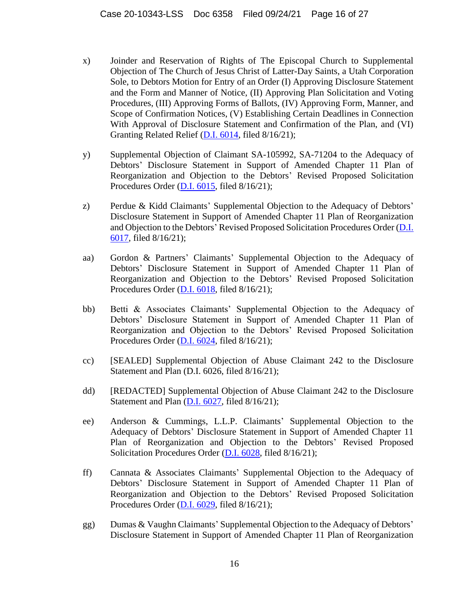- x) Joinder and Reservation of Rights of The Episcopal Church to Supplemental Objection of The Church of Jesus Christ of Latter-Day Saints, a Utah Corporation Sole, to Debtors Motion for Entry of an Order (I) Approving Disclosure Statement and the Form and Manner of Notice, (II) Approving Plan Solicitation and Voting Procedures, (III) Approving Forms of Ballots, (IV) Approving Form, Manner, and Scope of Confirmation Notices, (V) Establishing Certain Deadlines in Connection With Approval of Disclosure Statement and Confirmation of the Plan, and (VI) Granting Related Relief [\(D.I. 6014,](https://ecf.deb.uscourts.gov/cgi-bin/show_multidocs.pl?caseid=180369&arr_de_seq_nums=18791&magic_num=MAGIC&pdf_header=1&pdf_toggle_value=1&arr_de_seq_nums=18791&create_roa=&bates_format=&dkt=&got_receipt=1) filed 8/16/21);
- y) Supplemental Objection of Claimant SA-105992, SA-71204 to the Adequacy of Debtors' Disclosure Statement in Support of Amended Chapter 11 Plan of Reorganization and Objection to the Debtors' Revised Proposed Solicitation Procedures Order [\(D.I. 6015,](https://ecf.deb.uscourts.gov/cgi-bin/show_multidocs.pl?caseid=180369&arr_de_seq_nums=18797&magic_num=MAGIC&pdf_header=1&pdf_toggle_value=1&arr_de_seq_nums=18797&create_roa=&bates_format=&dkt=&got_receipt=1) filed 8/16/21);
- z) Perdue & Kidd Claimants' Supplemental Objection to the Adequacy of Debtors' Disclosure Statement in Support of Amended Chapter 11 Plan of Reorganization and Objection to the Debtors' Revised Proposed Solicitation Procedures Order (D.I. [6017,](https://ecf.deb.uscourts.gov/doc1/042119963575) filed 8/16/21);
- aa) Gordon & Partners' Claimants' Supplemental Objection to the Adequacy of Debtors' Disclosure Statement in Support of Amended Chapter 11 Plan of Reorganization and Objection to the Debtors' Revised Proposed Solicitation Procedures Order [\(D.I. 6018,](https://ecf.deb.uscourts.gov/doc1/042119963609) filed 8/16/21);
- bb) Betti & Associates Claimants' Supplemental Objection to the Adequacy of Debtors' Disclosure Statement in Support of Amended Chapter 11 Plan of Reorganization and Objection to the Debtors' Revised Proposed Solicitation Procedures Order [\(D.I. 6024,](https://ecf.deb.uscourts.gov/doc1/042119963729) filed 8/16/21);
- cc) [SEALED] Supplemental Objection of Abuse Claimant 242 to the Disclosure Statement and Plan (D.I. 6026, filed 8/16/21);
- dd) [REDACTED] Supplemental Objection of Abuse Claimant 242 to the Disclosure Statement and Plan [\(D.I. 6027,](https://ecf.deb.uscourts.gov/doc1/042119963758) filed 8/16/21);
- ee) Anderson & Cummings, L.L.P. Claimants' Supplemental Objection to the Adequacy of Debtors' Disclosure Statement in Support of Amended Chapter 11 Plan of Reorganization and Objection to the Debtors' Revised Proposed Solicitation Procedures Order [\(D.I. 6028,](https://ecf.deb.uscourts.gov/doc1/042119963944) filed 8/16/21);
- ff) Cannata & Associates Claimants' Supplemental Objection to the Adequacy of Debtors' Disclosure Statement in Support of Amended Chapter 11 Plan of Reorganization and Objection to the Debtors' Revised Proposed Solicitation Procedures Order [\(D.I. 6029,](https://ecf.deb.uscourts.gov/doc1/042119963968) filed 8/16/21);
- gg) Dumas & Vaughn Claimants' Supplemental Objection to the Adequacy of Debtors' Disclosure Statement in Support of Amended Chapter 11 Plan of Reorganization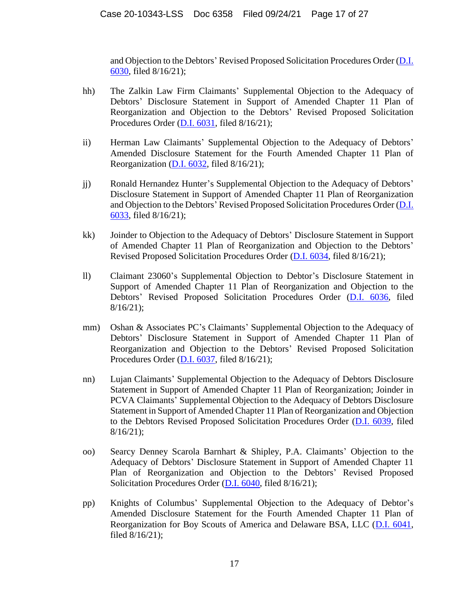and Objection to the Debtors' Revised Proposed Solicitation Procedures Order [\(D.I.](https://ecf.deb.uscourts.gov/doc1/042119963987)  [6030,](https://ecf.deb.uscourts.gov/doc1/042119963987) filed 8/16/21);

- hh) The Zalkin Law Firm Claimants' Supplemental Objection to the Adequacy of Debtors' Disclosure Statement in Support of Amended Chapter 11 Plan of Reorganization and Objection to the Debtors' Revised Proposed Solicitation Procedures Order [\(D.I. 6031,](https://ecf.deb.uscourts.gov/cgi-bin/show_multidocs.pl?caseid=180369&arr_de_seq_nums=18854&magic_num=MAGIC&pdf_header=1&pdf_toggle_value=1&arr_de_seq_nums=18854&create_roa=&bates_format=&dkt=&got_receipt=1) filed 8/16/21);
- ii) Herman Law Claimants' Supplemental Objection to the Adequacy of Debtors' Amended Disclosure Statement for the Fourth Amended Chapter 11 Plan of Reorganization [\(D.I. 6032,](https://ecf.deb.uscourts.gov/doc1/042119964027) filed 8/16/21);
- jj) Ronald Hernandez Hunter's Supplemental Objection to the Adequacy of Debtors' Disclosure Statement in Support of Amended Chapter 11 Plan of Reorganization and Objection to the Debtors' Revised Proposed Solicitation Procedures Order [\(D.I.](https://ecf.deb.uscourts.gov/doc1/042119964052)  [6033,](https://ecf.deb.uscourts.gov/doc1/042119964052) filed 8/16/21);
- kk) Joinder to Objection to the Adequacy of Debtors' Disclosure Statement in Support of Amended Chapter 11 Plan of Reorganization and Objection to the Debtors' Revised Proposed Solicitation Procedures Order [\(D.I. 6034,](https://ecf.deb.uscourts.gov/doc1/042119964053) filed 8/16/21);
- ll) Claimant 23060's Supplemental Objection to Debtor's Disclosure Statement in Support of Amended Chapter 11 Plan of Reorganization and Objection to the Debtors' Revised Proposed Solicitation Procedures Order [\(D.I. 6036,](https://ecf.deb.uscourts.gov/doc1/042119964138) filed 8/16/21);
- mm) Oshan & Associates PC's Claimants' Supplemental Objection to the Adequacy of Debtors' Disclosure Statement in Support of Amended Chapter 11 Plan of Reorganization and Objection to the Debtors' Revised Proposed Solicitation Procedures Order [\(D.I. 6037,](https://ecf.deb.uscourts.gov/doc1/042119964230) filed 8/16/21);
- nn) Lujan Claimants' Supplemental Objection to the Adequacy of Debtors Disclosure Statement in Support of Amended Chapter 11 Plan of Reorganization; Joinder in PCVA Claimants' Supplemental Objection to the Adequacy of Debtors Disclosure Statement in Support of Amended Chapter 11 Plan of Reorganization and Objection to the Debtors Revised Proposed Solicitation Procedures Order [\(D.I. 6039,](https://ecf.deb.uscourts.gov/cgi-bin/show_multidocs.pl?caseid=180369&arr_de_seq_nums=18891&magic_num=MAGIC&pdf_header=1&pdf_toggle_value=1&arr_de_seq_nums=18891&create_roa=&bates_format=&dkt=&got_receipt=1) filed 8/16/21);
- oo) Searcy Denney Scarola Barnhart & Shipley, P.A. Claimants' Objection to the Adequacy of Debtors' Disclosure Statement in Support of Amended Chapter 11 Plan of Reorganization and Objection to the Debtors' Revised Proposed Solicitation Procedures Order [\(D.I. 6040,](https://ecf.deb.uscourts.gov/doc1/042119964483) filed 8/16/21);
- pp) Knights of Columbus' Supplemental Objection to the Adequacy of Debtor's Amended Disclosure Statement for the Fourth Amended Chapter 11 Plan of Reorganization for Boy Scouts of America and Delaware BSA, LLC [\(D.I. 6041,](https://ecf.deb.uscourts.gov/doc1/042119964542) filed 8/16/21);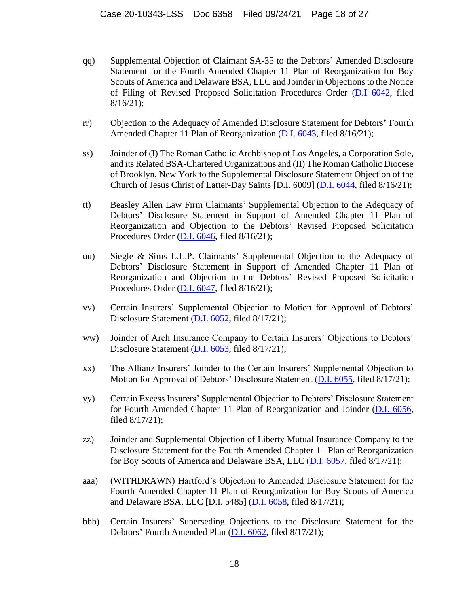- qq) Supplemental Objection of Claimant SA-35 to the Debtors' Amended Disclosure Statement for the Fourth Amended Chapter 11 Plan of Reorganization for Boy Scouts of America and Delaware BSA, LLC and Joinder in Objections to the Notice of Filing of Revised Proposed Solicitation Procedures Order [\(D.I 6042,](https://ecf.deb.uscourts.gov/doc1/042119964586) filed 8/16/21);
- rr) Objection to the Adequacy of Amended Disclosure Statement for Debtors' Fourth Amended Chapter 11 Plan of Reorganization [\(D.I. 6043,](https://ecf.deb.uscourts.gov/cgi-bin/show_multidocs.pl?caseid=180369&arr_de_seq_nums=18909&magic_num=MAGIC&pdf_header=1&pdf_toggle_value=1&arr_de_seq_nums=18909&create_roa=&bates_format=&dkt=&got_receipt=1) filed 8/16/21);
- ss) Joinder of (I) The Roman Catholic Archbishop of Los Angeles, a Corporation Sole, and its Related BSA-Chartered Organizations and (II) The Roman Catholic Diocese of Brooklyn, New York to the Supplemental Disclosure Statement Objection of the Church of Jesus Christ of Latter-Day Saints [D.I. 6009] [\(D.I. 6044,](https://ecf.deb.uscourts.gov/doc1/042119964634) filed 8/16/21);
- tt) Beasley Allen Law Firm Claimants' Supplemental Objection to the Adequacy of Debtors' Disclosure Statement in Support of Amended Chapter 11 Plan of Reorganization and Objection to the Debtors' Revised Proposed Solicitation Procedures Order [\(D.I. 6046,](https://ecf.deb.uscourts.gov/doc1/042119964798) filed 8/16/21);
- uu) Siegle & Sims L.L.P. Claimants' Supplemental Objection to the Adequacy of Debtors' Disclosure Statement in Support of Amended Chapter 11 Plan of Reorganization and Objection to the Debtors' Revised Proposed Solicitation Procedures Order [\(D.I. 6047,](https://ecf.deb.uscourts.gov/doc1/042119964930) filed 8/16/21);
- vv) Certain Insurers' Supplemental Objection to Motion for Approval of Debtors' Disclosure Statement [\(D.I. 6052,](https://ecf.deb.uscourts.gov/cgi-bin/show_multidocs.pl?caseid=180369&arr_de_seq_nums=18947&magic_num=MAGIC&pdf_header=1&pdf_toggle_value=1&arr_de_seq_nums=18947&create_roa=&bates_format=&dkt=&got_receipt=1) filed 8/17/21);
- ww) Joinder of Arch Insurance Company to Certain Insurers' Objections to Debtors' Disclosure Statement [\(D.I. 6053,](https://ecf.deb.uscourts.gov/cgi-bin/show_multidocs.pl?caseid=180369&arr_de_seq_nums=18950&magic_num=MAGIC&pdf_header=1&pdf_toggle_value=1&arr_de_seq_nums=18950&create_roa=&bates_format=&dkt=&got_receipt=1) filed 8/17/21);
- xx) The Allianz Insurers' Joinder to the Certain Insurers' Supplemental Objection to Motion for Approval of Debtors' Disclosure Statement [\(D.I. 6055,](https://ecf.deb.uscourts.gov/cgi-bin/show_multidocs.pl?caseid=180369&arr_de_seq_nums=18959&magic_num=MAGIC&pdf_header=1&pdf_toggle_value=1&arr_de_seq_nums=18959&create_roa=&bates_format=&dkt=&got_receipt=1) filed 8/17/21);
- yy) Certain Excess Insurers' Supplemental Objection to Debtors' Disclosure Statement for Fourth Amended Chapter 11 Plan of Reorganization and Joinder [\(D.I. 6056,](https://ecf.deb.uscourts.gov/cgi-bin/show_multidocs.pl?caseid=180369&arr_de_seq_nums=18964&magic_num=MAGIC&pdf_header=1&pdf_toggle_value=1&arr_de_seq_nums=18964&create_roa=&bates_format=&dkt=&got_receipt=1) filed 8/17/21);
- zz) Joinder and Supplemental Objection of Liberty Mutual Insurance Company to the Disclosure Statement for the Fourth Amended Chapter 11 Plan of Reorganization for Boy Scouts of America and Delaware BSA, LLC [\(D.I. 6057,](https://ecf.deb.uscourts.gov/cgi-bin/show_multidocs.pl?caseid=180369&arr_de_seq_nums=18967&magic_num=MAGIC&pdf_header=1&pdf_toggle_value=1&arr_de_seq_nums=18967&create_roa=&bates_format=&dkt=&got_receipt=1) filed 8/17/21);
- aaa) (WITHDRAWN) Hartford's Objection to Amended Disclosure Statement for the Fourth Amended Chapter 11 Plan of Reorganization for Boy Scouts of America and Delaware BSA, LLC [D.I. 5485] [\(D.I. 6058,](https://ecf.deb.uscourts.gov/cgi-bin/show_multidocs.pl?caseid=180369&arr_de_seq_nums=18973&magic_num=MAGIC&pdf_header=1&pdf_toggle_value=1&arr_de_seq_nums=18973&create_roa=&bates_format=&dkt=&got_receipt=1) filed 8/17/21);
- bbb) Certain Insurers' Superseding Objections to the Disclosure Statement for the Debtors' Fourth Amended Plan [\(D.I. 6062,](https://ecf.deb.uscourts.gov/doc1/042119966696) filed 8/17/21);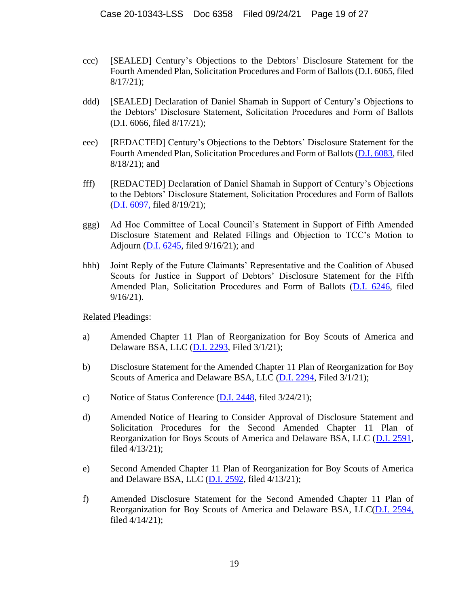- ccc) [SEALED] Century's Objections to the Debtors' Disclosure Statement for the Fourth Amended Plan, Solicitation Procedures and Form of Ballots (D.I. 6065, filed 8/17/21);
- ddd) [SEALED] Declaration of Daniel Shamah in Support of Century's Objections to the Debtors' Disclosure Statement, Solicitation Procedures and Form of Ballots (D.I. 6066, filed 8/17/21);
- eee) [REDACTED] Century's Objections to the Debtors' Disclosure Statement for the Fourth Amended Plan, Solicitation Procedures and Form of Ballots [\(D.I. 6083,](https://ecf.deb.uscourts.gov/doc1/042119969632) filed 8/18/21); and
- fff) [REDACTED] Declaration of Daniel Shamah in Support of Century's Objections to the Debtors' Disclosure Statement, Solicitation Procedures and Form of Ballots [\(D.I. 6097,](https://ecf.deb.uscourts.gov/doc1/042019973233) filed 8/19/21);
- ggg) Ad Hoc Committee of Local Council's Statement in Support of Fifth Amended Disclosure Statement and Related Filings and Objection to TCC's Motion to Adjourn [\(D.I. 6245,](https://ecf.deb.uscourts.gov/doc1/042020026220) filed 9/16/21); and
- hhh) Joint Reply of the Future Claimants' Representative and the Coalition of Abused Scouts for Justice in Support of Debtors' Disclosure Statement for the Fifth Amended Plan, Solicitation Procedures and Form of Ballots [\(D.I. 6246,](https://ecf.deb.uscourts.gov/doc1/042020026228) filed 9/16/21).

Related Pleadings:

- a) Amended Chapter 11 Plan of Reorganization for Boy Scouts of America and Delaware BSA, LLC [\(D.I. 2293,](https://ecf.deb.uscourts.gov/doc1/042019645334) Filed 3/1/21);
- b) Disclosure Statement for the Amended Chapter 11 Plan of Reorganization for Boy Scouts of America and Delaware BSA, LLC [\(D.I. 2294,](https://ecf.deb.uscourts.gov/doc1/042019645377) Filed 3/1/21);
- c) Notice of Status Conference [\(D.I. 2448,](https://ecf.deb.uscourts.gov/doc1/042019695847) filed 3/24/21);
- d) Amended Notice of Hearing to Consider Approval of Disclosure Statement and Solicitation Procedures for the Second Amended Chapter 11 Plan of Reorganization for Boys Scouts of America and Delaware BSA, LLC [\(D.I. 2591,](https://ecf.deb.uscourts.gov/doc1/042019731502) filed 4/13/21);
- e) Second Amended Chapter 11 Plan of Reorganization for Boy Scouts of America and Delaware BSA, LLC  $(D.I. 2592, filed 4/13/21);$  $(D.I. 2592, filed 4/13/21);$
- f) Amended Disclosure Statement for the Second Amended Chapter 11 Plan of Reorganization for Boy Scouts of America and Delaware BSA, LLC[\(D.I. 2594,](https://ecf.deb.uscourts.gov/doc1/042019731632) filed 4/14/21);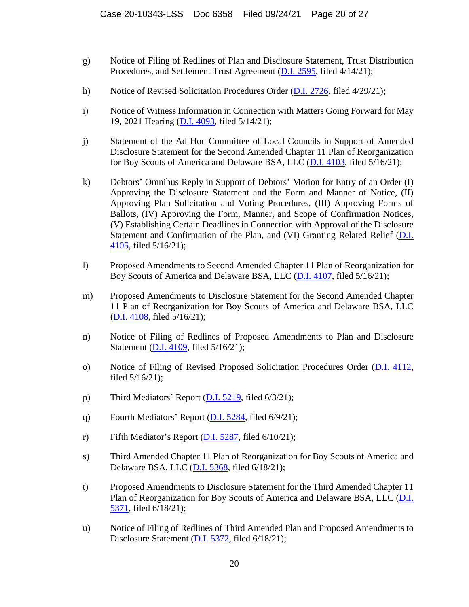- g) Notice of Filing of Redlines of Plan and Disclosure Statement, Trust Distribution Procedures, and Settlement Trust Agreement [\(D.I. 2595,](https://ecf.deb.uscourts.gov/doc1/042019731635) filed 4/14/21);
- h) Notice of Revised Solicitation Procedures Order [\(D.I. 2726,](https://ecf.deb.uscourts.gov/doc1/042019760922) filed 4/29/21);
- i) Notice of Witness Information in Connection with Matters Going Forward for May 19, 2021 Hearing [\(D.I. 4093,](https://ecf.deb.uscourts.gov/doc1/042019795622) filed 5/14/21);
- j) Statement of the Ad Hoc Committee of Local Councils in Support of Amended Disclosure Statement for the Second Amended Chapter 11 Plan of Reorganization for Boy Scouts of America and Delaware BSA, LLC [\(D.I. 4103,](https://ecf.deb.uscourts.gov/doc1/042019796812) filed 5/16/21);
- k) Debtors' Omnibus Reply in Support of Debtors' Motion for Entry of an Order (I) Approving the Disclosure Statement and the Form and Manner of Notice, (II) Approving Plan Solicitation and Voting Procedures, (III) Approving Forms of Ballots, (IV) Approving the Form, Manner, and Scope of Confirmation Notices, (V) Establishing Certain Deadlines in Connection with Approval of the Disclosure Statement and Confirmation of the Plan, and (VI) Granting Related Relief [\(D.I.](https://ecf.deb.uscourts.gov/doc1/042019796822) [4105,](https://ecf.deb.uscourts.gov/doc1/042019796822) filed 5/16/21);
- l) Proposed Amendments to Second Amended Chapter 11 Plan of Reorganization for Boy Scouts of America and Delaware BSA, LLC [\(D.I. 4107,](https://ecf.deb.uscourts.gov/doc1/042019796852) filed 5/16/21);
- m) Proposed Amendments to Disclosure Statement for the Second Amended Chapter 11 Plan of Reorganization for Boy Scouts of America and Delaware BSA, LLC [\(D.I. 4108,](https://ecf.deb.uscourts.gov/doc1/042019796855) filed 5/16/21);
- n) Notice of Filing of Redlines of Proposed Amendments to Plan and Disclosure Statement [\(D.I. 4109,](https://ecf.deb.uscourts.gov/doc1/042019796867) filed 5/16/21);
- o) Notice of Filing of Revised Proposed Solicitation Procedures Order [\(D.I. 4112,](https://ecf.deb.uscourts.gov/doc1/042019796878) filed 5/16/21);
- p) Third Mediators' Report [\(D.I. 5219,](https://ecf.deb.uscourts.gov/doc1/042019832718) filed 6/3/21);
- q) Fourth Mediators' Report  $(D.I. 5284, \text{ filed } 6/9/21)$  $(D.I. 5284, \text{ filed } 6/9/21)$ ;
- r) Fifth Mediator's Report  $(D.I. 5287,$  filed  $6/10/21$ ;
- s) Third Amended Chapter 11 Plan of Reorganization for Boy Scouts of America and Delaware BSA, LLC [\(D.I. 5368,](https://ecf.deb.uscourts.gov/doc1/042019857149) filed 6/18/21);
- t) Proposed Amendments to Disclosure Statement for the Third Amended Chapter 11 Plan of Reorganization for Boy Scouts of America and Delaware BSA, LLC [\(D.I.](https://ecf.deb.uscourts.gov/doc1/042019857246)  [5371,](https://ecf.deb.uscourts.gov/doc1/042019857246) filed 6/18/21);
- u) Notice of Filing of Redlines of Third Amended Plan and Proposed Amendments to Disclosure Statement [\(D.I. 5372,](https://ecf.deb.uscourts.gov/doc1/042019857273) filed 6/18/21);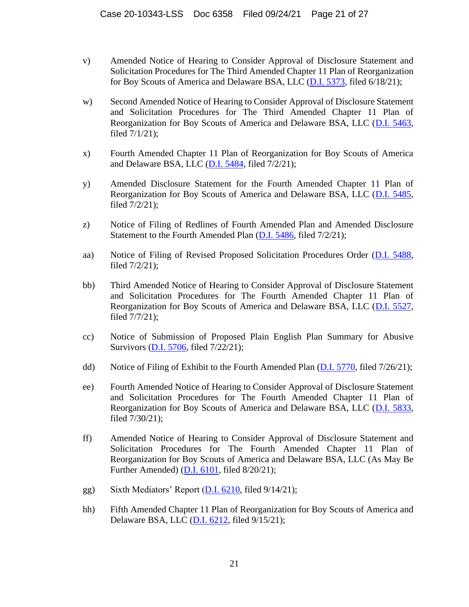- v) Amended Notice of Hearing to Consider Approval of Disclosure Statement and Solicitation Procedures for The Third Amended Chapter 11 Plan of Reorganization for Boy Scouts of America and Delaware BSA, LLC [\(D.I. 5373,](https://ecf.deb.uscourts.gov/doc1/042019857278) filed 6/18/21);
- w) Second Amended Notice of Hearing to Consider Approval of Disclosure Statement and Solicitation Procedures for The Third Amended Chapter 11 Plan of Reorganization for Boy Scouts of America and Delaware BSA, LLC [\(D.I. 5463,](https://ecf.deb.uscourts.gov/doc1/042019882925) filed 7/1/21);
- x) Fourth Amended Chapter 11 Plan of Reorganization for Boy Scouts of America and Delaware BSA, LLC [\(D.I. 5484,](https://ecf.deb.uscourts.gov/doc1/042019885337) filed 7/2/21);
- y) Amended Disclosure Statement for the Fourth Amended Chapter 11 Plan of Reorganization for Boy Scouts of America and Delaware BSA, LLC [\(D.I. 5485,](https://ecf.deb.uscourts.gov/doc1/042019885354) filed 7/2/21);
- z) Notice of Filing of Redlines of Fourth Amended Plan and Amended Disclosure Statement to the Fourth Amended Plan [\(D.I. 5486,](https://ecf.deb.uscourts.gov/doc1/042019885363) filed 7/2/21);
- aa) Notice of Filing of Revised Proposed Solicitation Procedures Order [\(D.I. 5488,](https://ecf.deb.uscourts.gov/doc1/042019885377) filed 7/2/21);
- bb) Third Amended Notice of Hearing to Consider Approval of Disclosure Statement and Solicitation Procedures for The Fourth Amended Chapter 11 Plan of Reorganization for Boy Scouts of America and Delaware BSA, LLC [\(D.I. 5527,](https://ecf.deb.uscourts.gov/doc1/042019889911) filed 7/7/21);
- cc) Notice of Submission of Proposed Plain English Plan Summary for Abusive Survivors [\(D.I. 5706,](https://ecf.deb.uscourts.gov/doc1/042019919464) filed 7/22/21);
- dd) Notice of Filing of Exhibit to the Fourth Amended Plan [\(D.I. 5770,](https://ecf.deb.uscourts.gov/doc1/042019924685) filed 7/26/21);
- ee) Fourth Amended Notice of Hearing to Consider Approval of Disclosure Statement and Solicitation Procedures for The Fourth Amended Chapter 11 Plan of Reorganization for Boy Scouts of America and Delaware BSA, LLC [\(D.I. 5833,](https://ecf.deb.uscourts.gov/doc1/042019935951) filed 7/30/21);
- ff) Amended Notice of Hearing to Consider Approval of Disclosure Statement and Solicitation Procedures for The Fourth Amended Chapter 11 Plan of Reorganization for Boy Scouts of America and Delaware BSA, LLC (As May Be Further Amended) [\(D.I. 6101,](https://ecf.deb.uscourts.gov/doc1/042019974988) filed 8/20/21);
- gg) Sixth Mediators' Report [\(D.I. 6210,](https://ecf.deb.uscourts.gov/doc1/042020022430) filed 9/14/21);
- hh) Fifth Amended Chapter 11 Plan of Reorganization for Boy Scouts of America and Delaware BSA, LLC [\(D.I. 6212,](https://ecf.deb.uscourts.gov/doc1/042020022564) filed 9/15/21);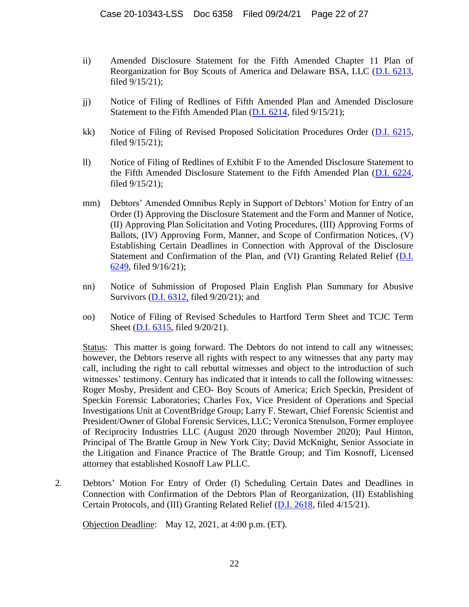- ii) Amended Disclosure Statement for the Fifth Amended Chapter 11 Plan of Reorganization for Boy Scouts of America and Delaware BSA, LLC [\(D.I. 6213,](https://ecf.deb.uscourts.gov/doc1/042020022567) filed 9/15/21);
- jj) Notice of Filing of Redlines of Fifth Amended Plan and Amended Disclosure Statement to the Fifth Amended Plan [\(D.I. 6214,](https://ecf.deb.uscourts.gov/doc1/042020022570) filed 9/15/21);
- kk) Notice of Filing of Revised Proposed Solicitation Procedures Order [\(D.I. 6215,](https://ecf.deb.uscourts.gov/doc1/042020022575) filed 9/15/21);
- ll) Notice of Filing of Redlines of Exhibit F to the Amended Disclosure Statement to the Fifth Amended Disclosure Statement to the Fifth Amended Plan [\(D.I. 6224,](https://ecf.deb.uscourts.gov/doc1/042020024340) filed 9/15/21);
- mm) Debtors' Amended Omnibus Reply in Support of Debtors' Motion for Entry of an Order (I) Approving the Disclosure Statement and the Form and Manner of Notice, (II) Approving Plan Solicitation and Voting Procedures, (III) Approving Forms of Ballots, (IV) Approving Form, Manner, and Scope of Confirmation Notices, (V) Establishing Certain Deadlines in Connection with Approval of the Disclosure Statement and Confirmation of the Plan, and (VI) Granting Related Relief (D.I. [6249,](https://ecf.deb.uscourts.gov/doc1/042020026297) filed 9/16/21);
- nn) Notice of Submission of Proposed Plain English Plan Summary for Abusive Survivors [\(D.I. 6312,](https://ecf.deb.uscourts.gov/doc1/042020032394) filed 9/20/21); and
- oo) Notice of Filing of Revised Schedules to Hartford Term Sheet and TCJC Term Sheet [\(D.I. 6315,](https://ecf.deb.uscourts.gov/doc1/042020033357) filed 9/20/21).

Status: This matter is going forward. The Debtors do not intend to call any witnesses; however, the Debtors reserve all rights with respect to any witnesses that any party may call, including the right to call rebuttal witnesses and object to the introduction of such witnesses' testimony. Century has indicated that it intends to call the following witnesses: Roger Mosby, President and CEO- Boy Scouts of America; Erich Speckin, President of Speckin Forensic Laboratories; Charles Fox, Vice President of Operations and Special Investigations Unit at CoventBridge Group; Larry F. Stewart, Chief Forensic Scientist and President/Owner of Global Forensic Services, LLC; Veronica Stenulson, Former employee of Reciprocity Industries LLC (August 2020 through November 2020); Paul Hinton, Principal of The Brattle Group in New York City; David McKnight, Senior Associate in the Litigation and Finance Practice of The Brattle Group; and Tim Kosnoff, Licensed attorney that established Kosnoff Law PLLC.

2. Debtors' Motion For Entry of Order (I) Scheduling Certain Dates and Deadlines in Connection with Confirmation of the Debtors Plan of Reorganization, (II) Establishing Certain Protocols, and (III) Granting Related Relief [\(D.I. 2618,](https://ecf.deb.uscourts.gov/doc1/042019736007) filed 4/15/21).

Objection Deadline: May 12, 2021, at 4:00 p.m. (ET).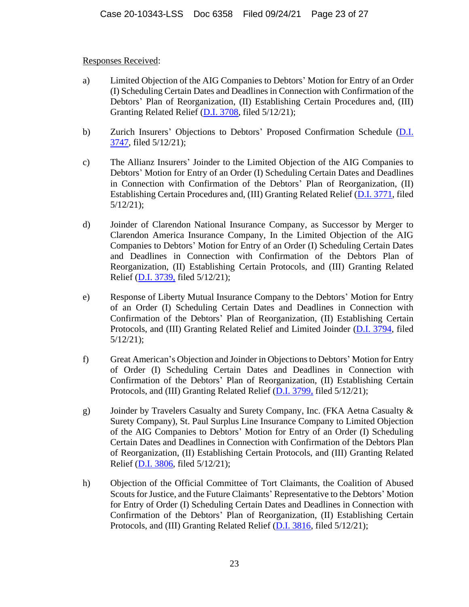## Responses Received:

- a) Limited Objection of the AIG Companies to Debtors' Motion for Entry of an Order (I) Scheduling Certain Dates and Deadlines in Connection with Confirmation of the Debtors' Plan of Reorganization, (II) Establishing Certain Procedures and, (III) Granting Related Relief [\(D.I. 3708,](https://ecf.deb.uscourts.gov/doc1/042019788703) filed 5/12/21);
- b) Zurich Insurers' Objections to Debtors' Proposed Confirmation Schedule [\(D.I.](https://ecf.deb.uscourts.gov/doc1/042019788882)  [3747,](https://ecf.deb.uscourts.gov/doc1/042019788882) filed 5/12/21);
- c) The Allianz Insurers' Joinder to the Limited Objection of the AIG Companies to Debtors' Motion for Entry of an Order (I) Scheduling Certain Dates and Deadlines in Connection with Confirmation of the Debtors' Plan of Reorganization, (II) Establishing Certain Procedures and, (III) Granting Related Relief [\(D.I. 3771,](https://ecf.deb.uscourts.gov/doc1/042019788998) filed 5/12/21);
- d) Joinder of Clarendon National Insurance Company, as Successor by Merger to Clarendon America Insurance Company, In the Limited Objection of the AIG Companies to Debtors' Motion for Entry of an Order (I) Scheduling Certain Dates and Deadlines in Connection with Confirmation of the Debtors Plan of Reorganization, (II) Establishing Certain Protocols, and (III) Granting Related Relief [\(D.I. 3739,](https://ecf.deb.uscourts.gov/doc1/042019788835) filed 5/12/21);
- e) Response of Liberty Mutual Insurance Company to the Debtors' Motion for Entry of an Order (I) Scheduling Certain Dates and Deadlines in Connection with Confirmation of the Debtors' Plan of Reorganization, (II) Establishing Certain Protocols, and (III) Granting Related Relief and Limited Joinder [\(D.I. 3794,](https://ecf.deb.uscourts.gov/doc1/042019789167) filed 5/12/21);
- f) Great American's Objection and Joinder in Objections to Debtors' Motion for Entry of Order (I) Scheduling Certain Dates and Deadlines in Connection with Confirmation of the Debtors' Plan of Reorganization, (II) Establishing Certain Protocols, and (III) Granting Related Relief [\(D.I. 3799,](https://ecf.deb.uscourts.gov/doc1/042019789186) filed 5/12/21);
- g) Joinder by Travelers Casualty and Surety Company, Inc. (FKA Aetna Casualty & Surety Company), St. Paul Surplus Line Insurance Company to Limited Objection of the AIG Companies to Debtors' Motion for Entry of an Order (I) Scheduling Certain Dates and Deadlines in Connection with Confirmation of the Debtors Plan of Reorganization, (II) Establishing Certain Protocols, and (III) Granting Related Relief [\(D.I. 3806,](https://ecf.deb.uscourts.gov/doc1/042019789224) filed 5/12/21);
- h) Objection of the Official Committee of Tort Claimants, the Coalition of Abused Scouts for Justice, and the Future Claimants' Representative to the Debtors' Motion for Entry of Order (I) Scheduling Certain Dates and Deadlines in Connection with Confirmation of the Debtors' Plan of Reorganization, (II) Establishing Certain Protocols, and (III) Granting Related Relief [\(D.I. 3816,](https://ecf.deb.uscourts.gov/doc1/042019789290) filed 5/12/21);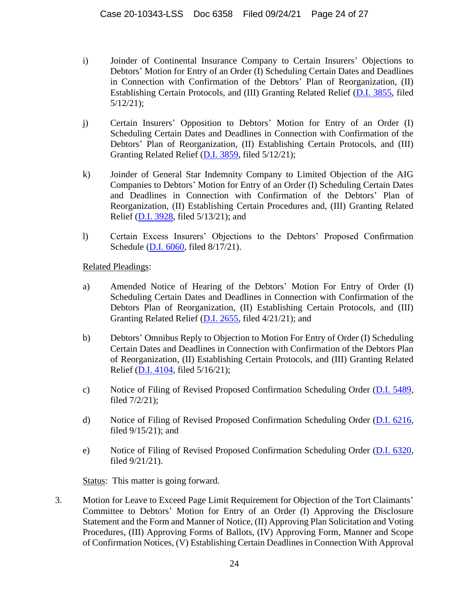- i) Joinder of Continental Insurance Company to Certain Insurers' Objections to Debtors' Motion for Entry of an Order (I) Scheduling Certain Dates and Deadlines in Connection with Confirmation of the Debtors' Plan of Reorganization, (II) Establishing Certain Protocols, and (III) Granting Related Relief [\(D.I. 3855,](https://ecf.deb.uscourts.gov/doc1/042019790002) filed 5/12/21);
- j) Certain Insurers' Opposition to Debtors' Motion for Entry of an Order (I) Scheduling Certain Dates and Deadlines in Connection with Confirmation of the Debtors' Plan of Reorganization, (II) Establishing Certain Protocols, and (III) Granting Related Relief [\(D.I. 3859,](https://ecf.deb.uscourts.gov/doc1/042019790094) filed 5/12/21);
- k) Joinder of General Star Indemnity Company to Limited Objection of the AIG Companies to Debtors' Motion for Entry of an Order (I) Scheduling Certain Dates and Deadlines in Connection with Confirmation of the Debtors' Plan of Reorganization, (II) Establishing Certain Procedures and, (III) Granting Related Relief [\(D.I. 3928,](https://ecf.deb.uscourts.gov/doc1/042019792164) filed 5/13/21); and
- l) Certain Excess Insurers' Objections to the Debtors' Proposed Confirmation Schedule [\(D.I. 6060,](https://ecf.deb.uscourts.gov/doc1/042119966662) filed 8/17/21).

Related Pleadings:

- a) Amended Notice of Hearing of the Debtors' Motion For Entry of Order (I) Scheduling Certain Dates and Deadlines in Connection with Confirmation of the Debtors Plan of Reorganization, (II) Establishing Certain Protocols, and (III) Granting Related Relief [\(D.I. 2655,](https://ecf.deb.uscourts.gov/doc1/042019745487) filed 4/21/21); and
- b) Debtors' Omnibus Reply to Objection to Motion For Entry of Order (I) Scheduling Certain Dates and Deadlines in Connection with Confirmation of the Debtors Plan of Reorganization, (II) Establishing Certain Protocols, and (III) Granting Related Relief [\(D.I. 4104,](https://ecf.deb.uscourts.gov/doc1/042019796818) filed 5/16/21);
- c) Notice of Filing of Revised Proposed Confirmation Scheduling Order [\(D.I. 5489,](https://ecf.deb.uscourts.gov/doc1/042019885382) filed 7/2/21);
- d) Notice of Filing of Revised Proposed Confirmation Scheduling Order [\(D.I. 6216,](https://ecf.deb.uscourts.gov/doc1/042020022583) filed 9/15/21); and
- e) Notice of Filing of Revised Proposed Confirmation Scheduling Order [\(D.I. 6320,](https://ecf.deb.uscourts.gov/doc1/042020033618) filed 9/21/21).

Status: This matter is going forward.

3. Motion for Leave to Exceed Page Limit Requirement for Objection of the Tort Claimants' Committee to Debtors' Motion for Entry of an Order (I) Approving the Disclosure Statement and the Form and Manner of Notice, (II) Approving Plan Solicitation and Voting Procedures, (III) Approving Forms of Ballots, (IV) Approving Form, Manner and Scope of Confirmation Notices, (V) Establishing Certain Deadlines in Connection With Approval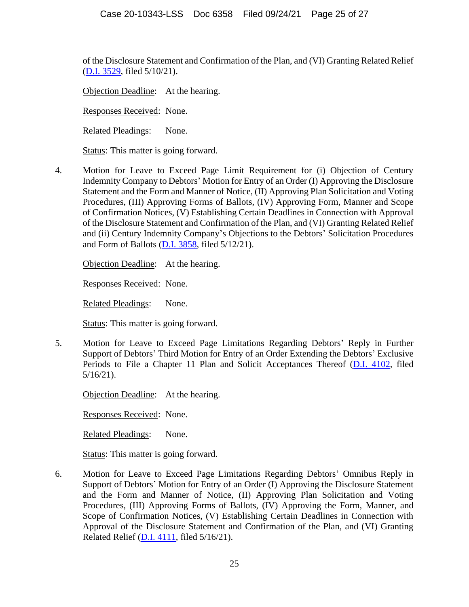of the Disclosure Statement and Confirmation of the Plan, and (VI) Granting Related Relief [\(D.I. 3529,](https://ecf.deb.uscourts.gov/doc1/042019783894) filed 5/10/21).

Objection Deadline: At the hearing.

Responses Received: None.

Related Pleadings: None.

Status: This matter is going forward.

4. Motion for Leave to Exceed Page Limit Requirement for (i) Objection of Century Indemnity Company to Debtors' Motion for Entry of an Order (I) Approving the Disclosure Statement and the Form and Manner of Notice, (II) Approving Plan Solicitation and Voting Procedures, (III) Approving Forms of Ballots, (IV) Approving Form, Manner and Scope of Confirmation Notices, (V) Establishing Certain Deadlines in Connection with Approval of the Disclosure Statement and Confirmation of the Plan, and (VI) Granting Related Relief and (ii) Century Indemnity Company's Objections to the Debtors' Solicitation Procedures and Form of Ballots [\(D.I. 3858,](https://ecf.deb.uscourts.gov/doc1/042019790087) filed 5/12/21).

Objection Deadline: At the hearing.

Responses Received: None.

Related Pleadings: None.

Status: This matter is going forward.

5. Motion for Leave to Exceed Page Limitations Regarding Debtors' Reply in Further Support of Debtors' Third Motion for Entry of an Order Extending the Debtors' Exclusive Periods to File a Chapter 11 Plan and Solicit Acceptances Thereof [\(D.I. 4102,](https://ecf.deb.uscourts.gov/doc1/042019796804) filed 5/16/21).

Objection Deadline: At the hearing.

Responses Received: None.

Related Pleadings: None.

Status: This matter is going forward.

6. Motion for Leave to Exceed Page Limitations Regarding Debtors' Omnibus Reply in Support of Debtors' Motion for Entry of an Order (I) Approving the Disclosure Statement and the Form and Manner of Notice, (II) Approving Plan Solicitation and Voting Procedures, (III) Approving Forms of Ballots, (IV) Approving the Form, Manner, and Scope of Confirmation Notices, (V) Establishing Certain Deadlines in Connection with Approval of the Disclosure Statement and Confirmation of the Plan, and (VI) Granting Related Relief [\(D.I. 4111,](https://ecf.deb.uscourts.gov/doc1/042019796875) filed 5/16/21).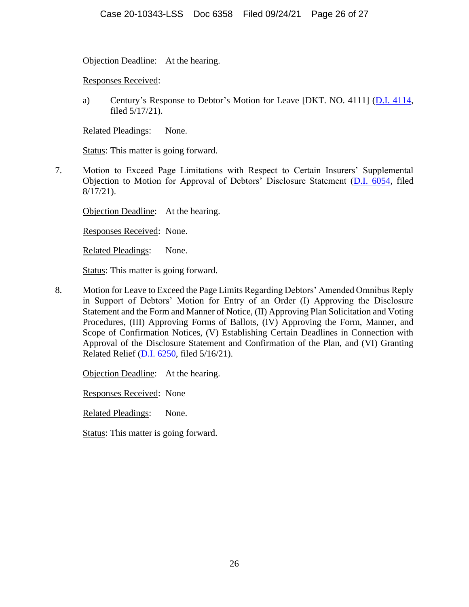Objection Deadline: At the hearing.

Responses Received:

a) Century's Response to Debtor's Motion for Leave [DKT. NO. 4111]  $(D.I. 4114,$ filed 5/17/21).

Related Pleadings: None.

Status: This matter is going forward.

7. Motion to Exceed Page Limitations with Respect to Certain Insurers' Supplemental Objection to Motion for Approval of Debtors' Disclosure Statement [\(D.I. 6054,](https://ecf.deb.uscourts.gov/cgi-bin/show_multidocs.pl?caseid=180369&arr_de_seq_nums=18956&magic_num=MAGIC&pdf_header=1&pdf_toggle_value=1&arr_de_seq_nums=18956&create_roa=&bates_format=&dkt=&got_receipt=1) filed 8/17/21).

Objection Deadline: At the hearing.

Responses Received: None.

Related Pleadings: None.

Status: This matter is going forward.

8. Motion for Leave to Exceed the Page Limits Regarding Debtors' Amended Omnibus Reply in Support of Debtors' Motion for Entry of an Order (I) Approving the Disclosure Statement and the Form and Manner of Notice, (II) Approving Plan Solicitation and Voting Procedures, (III) Approving Forms of Ballots, (IV) Approving the Form, Manner, and Scope of Confirmation Notices, (V) Establishing Certain Deadlines in Connection with Approval of the Disclosure Statement and Confirmation of the Plan, and (VI) Granting Related Relief [\(D.I. 6250,](https://ecf.deb.uscourts.gov/doc1/042020026323) filed 5/16/21).

Objection Deadline: At the hearing.

Responses Received: None

Related Pleadings: None.

Status: This matter is going forward.